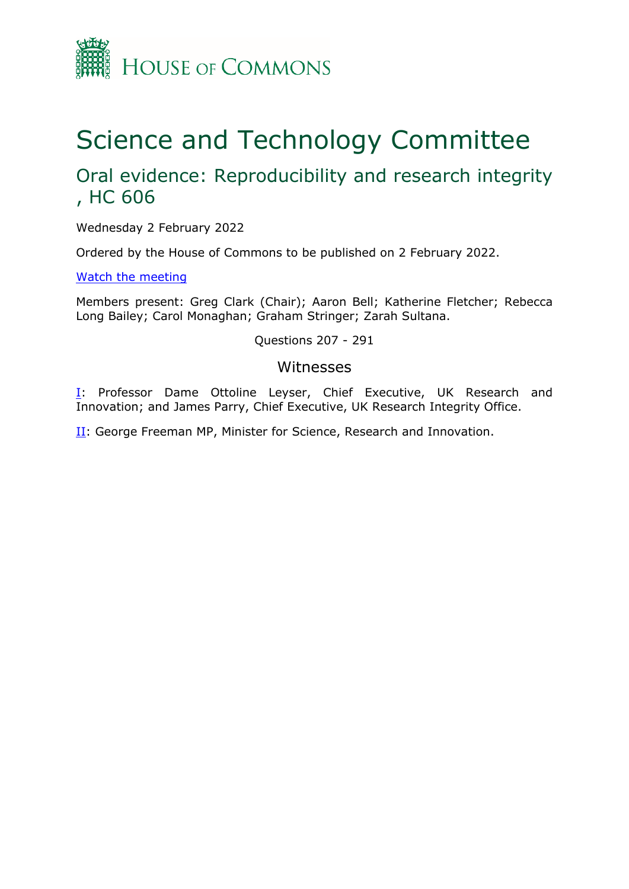

# Science and Technology Committee

# Oral evidence: Reproducibility and research integrity , HC 606

Wednesday 2 February 2022

Ordered by the House of Commons to be published on 2 February 2022.

[Watch](https://www.parliamentlive.tv/Event/Index/1c05fdcb-9556-4491-ae51-1447e5527ff6#player-tabs) [the](https://www.parliamentlive.tv/Event/Index/1c05fdcb-9556-4491-ae51-1447e5527ff6#player-tabs) [meeting](https://www.parliamentlive.tv/Event/Index/1c05fdcb-9556-4491-ae51-1447e5527ff6#player-tabs)

Members present: Greg Clark (Chair); Aaron Bell; Katherine Fletcher; Rebecca Long Bailey; Carol Monaghan; Graham Stringer; Zarah Sultana.

Questions 207 - 291

### Witnesses

[I:](#page-1-0) Professor Dame Ottoline Leyser, Chief Executive, UK Research and Innovation; and James Parry, Chief Executive, UK Research Integrity Office.

[II](#page-20-0): George Freeman MP, Minister for Science, Research and Innovation.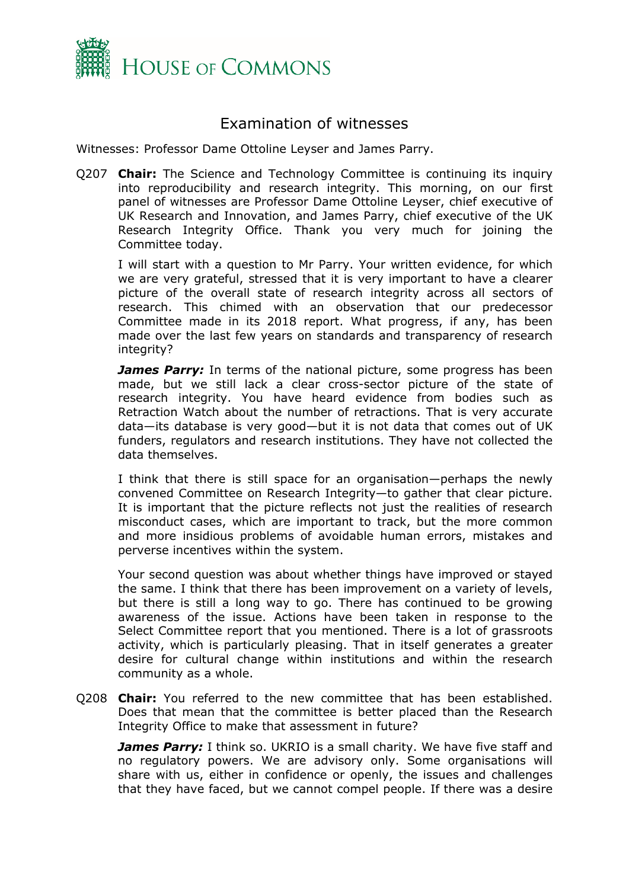

## <span id="page-1-0"></span>Examination of witnesses

Witnesses: Professor Dame Ottoline Leyser and James Parry.

Q207 **Chair:** The Science and Technology Committee is continuing its inquiry into reproducibility and research integrity. This morning, on our first panel of witnesses are Professor Dame Ottoline Leyser, chief executive of UK Research and Innovation, and James Parry, chief executive of the UK Research Integrity Office. Thank you very much for joining the Committee today.

I will start with a question to Mr Parry. Your written evidence, for which we are very grateful, stressed that it is very important to have a clearer picture of the overall state of research integrity across all sectors of research. This chimed with an observation that our predecessor Committee made in its 2018 report. What progress, if any, has been made over the last few years on standards and transparency of research integrity?

*James Parry:* In terms of the national picture, some progress has been made, but we still lack a clear cross-sector picture of the state of research integrity. You have heard evidence from bodies such as Retraction Watch about the number of retractions. That is very accurate data—its database is very good—but it is not data that comes out of UK funders, regulators and research institutions. They have not collected the data themselves.

I think that there is still space for an organisation—perhaps the newly convened Committee on Research Integrity—to gather that clear picture. It is important that the picture reflects not just the realities of research misconduct cases, which are important to track, but the more common and more insidious problems of avoidable human errors, mistakes and perverse incentives within the system.

Your second question was about whether things have improved or stayed the same. I think that there has been improvement on a variety of levels, but there is still a long way to go. There has continued to be growing awareness of the issue. Actions have been taken in response to the Select Committee report that you mentioned. There is a lot of grassroots activity, which is particularly pleasing. That in itself generates a greater desire for cultural change within institutions and within the research community as a whole.

Q208 **Chair:** You referred to the new committee that has been established. Does that mean that the committee is better placed than the Research Integrity Office to make that assessment in future?

**James Parry:** I think so. UKRIO is a small charity. We have five staff and no regulatory powers. We are advisory only. Some organisations will share with us, either in confidence or openly, the issues and challenges that they have faced, but we cannot compel people. If there was a desire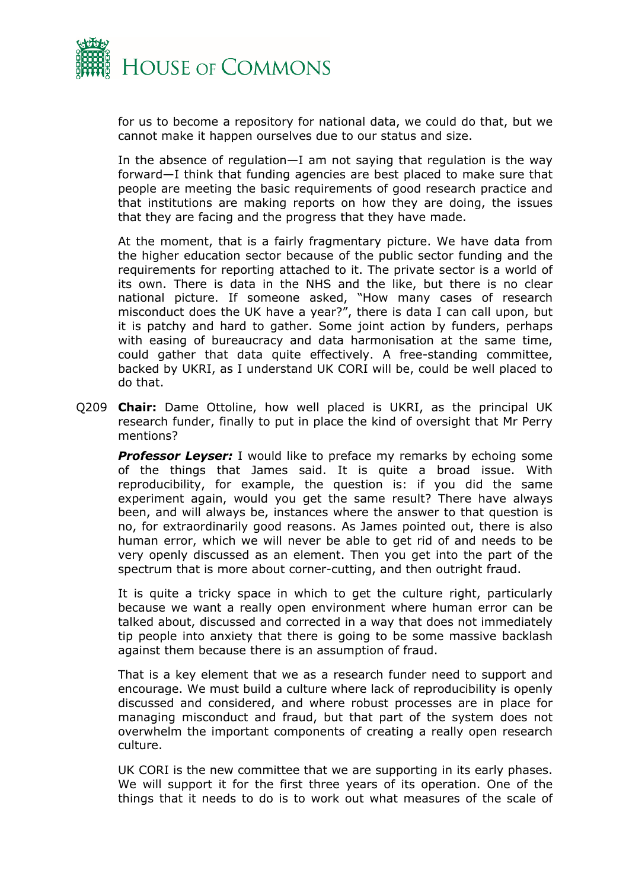

for us to become a repository for national data, we could do that, but we cannot make it happen ourselves due to our status and size.

In the absence of regulation—I am not saying that regulation is the way forward—I think that funding agencies are best placed to make sure that people are meeting the basic requirements of good research practice and that institutions are making reports on how they are doing, the issues that they are facing and the progress that they have made.

At the moment, that is a fairly fragmentary picture. We have data from the higher education sector because of the public sector funding and the requirements for reporting attached to it. The private sector is a world of its own. There is data in the NHS and the like, but there is no clear national picture. If someone asked, "How many cases of research misconduct does the UK have a year?", there is data I can call upon, but it is patchy and hard to gather. Some joint action by funders, perhaps with easing of bureaucracy and data harmonisation at the same time, could gather that data quite effectively. A free-standing committee, backed by UKRI, as I understand UK CORI will be, could be well placed to do that.

Q209 **Chair:** Dame Ottoline, how well placed is UKRI, as the principal UK research funder, finally to put in place the kind of oversight that Mr Perry mentions?

**Professor Leyser:** I would like to preface my remarks by echoing some of the things that James said. It is quite a broad issue. With reproducibility, for example, the question is: if you did the same experiment again, would you get the same result? There have always been, and will always be, instances where the answer to that question is no, for extraordinarily good reasons. As James pointed out, there is also human error, which we will never be able to get rid of and needs to be very openly discussed as an element. Then you get into the part of the spectrum that is more about corner-cutting, and then outright fraud.

It is quite a tricky space in which to get the culture right, particularly because we want a really open environment where human error can be talked about, discussed and corrected in a way that does not immediately tip people into anxiety that there is going to be some massive backlash against them because there is an assumption of fraud.

That is a key element that we as a research funder need to support and encourage. We must build a culture where lack of reproducibility is openly discussed and considered, and where robust processes are in place for managing misconduct and fraud, but that part of the system does not overwhelm the important components of creating a really open research culture.

UK CORI is the new committee that we are supporting in its early phases. We will support it for the first three years of its operation. One of the things that it needs to do is to work out what measures of the scale of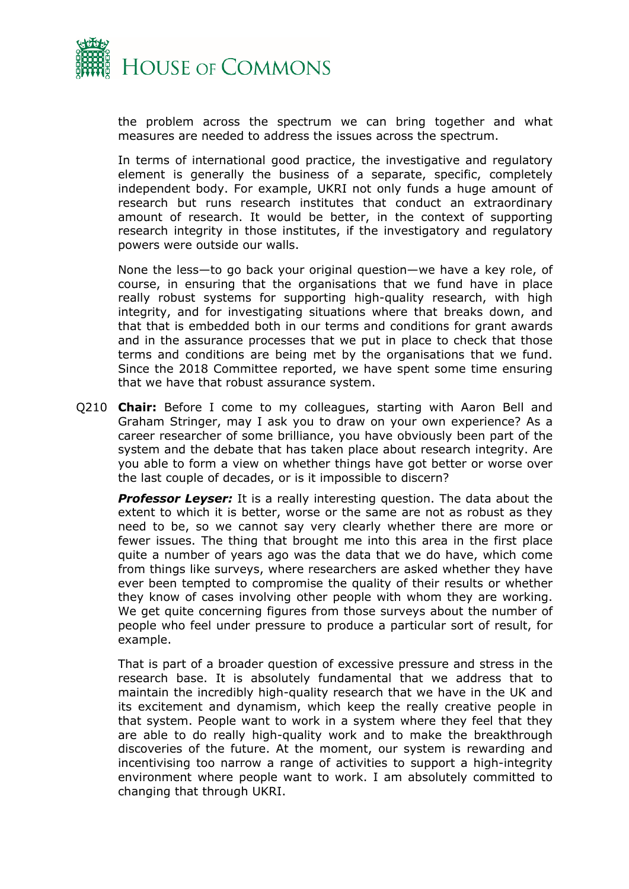

the problem across the spectrum we can bring together and what measures are needed to address the issues across the spectrum.

In terms of international good practice, the investigative and regulatory element is generally the business of a separate, specific, completely independent body. For example, UKRI not only funds a huge amount of research but runs research institutes that conduct an extraordinary amount of research. It would be better, in the context of supporting research integrity in those institutes, if the investigatory and regulatory powers were outside our walls.

None the less—to go back your original question—we have a key role, of course, in ensuring that the organisations that we fund have in place really robust systems for supporting high-quality research, with high integrity, and for investigating situations where that breaks down, and that that is embedded both in our terms and conditions for grant awards and in the assurance processes that we put in place to check that those terms and conditions are being met by the organisations that we fund. Since the 2018 Committee reported, we have spent some time ensuring that we have that robust assurance system.

Q210 **Chair:** Before I come to my colleagues, starting with Aaron Bell and Graham Stringer, may I ask you to draw on your own experience? As a career researcher of some brilliance, you have obviously been part of the system and the debate that has taken place about research integrity. Are you able to form a view on whether things have got better or worse over the last couple of decades, or is it impossible to discern?

**Professor Leyser:** It is a really interesting question. The data about the extent to which it is better, worse or the same are not as robust as they need to be, so we cannot say very clearly whether there are more or fewer issues. The thing that brought me into this area in the first place quite a number of years ago was the data that we do have, which come from things like surveys, where researchers are asked whether they have ever been tempted to compromise the quality of their results or whether they know of cases involving other people with whom they are working. We get quite concerning figures from those surveys about the number of people who feel under pressure to produce a particular sort of result, for example.

That is part of a broader question of excessive pressure and stress in the research base. It is absolutely fundamental that we address that to maintain the incredibly high-quality research that we have in the UK and its excitement and dynamism, which keep the really creative people in that system. People want to work in a system where they feel that they are able to do really high-quality work and to make the breakthrough discoveries of the future. At the moment, our system is rewarding and incentivising too narrow a range of activities to support a high-integrity environment where people want to work. I am absolutely committed to changing that through UKRI.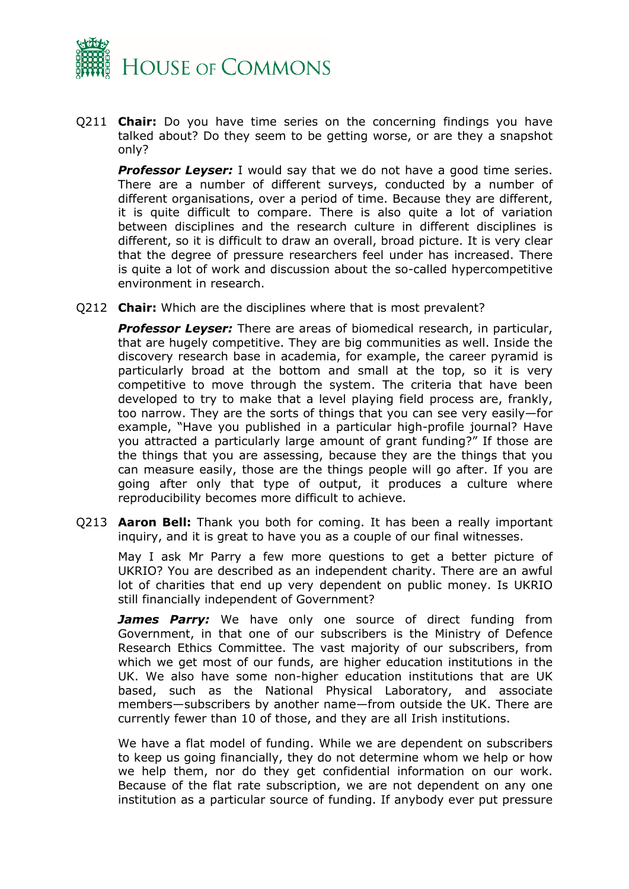

Q211 **Chair:** Do you have time series on the concerning findings you have talked about? Do they seem to be getting worse, or are they a snapshot only?

**Professor Leyser:** I would say that we do not have a good time series. There are a number of different surveys, conducted by a number of different organisations, over a period of time. Because they are different, it is quite difficult to compare. There is also quite a lot of variation between disciplines and the research culture in different disciplines is different, so it is difficult to draw an overall, broad picture. It is very clear that the degree of pressure researchers feel under has increased. There is quite a lot of work and discussion about the so-called hypercompetitive environment in research.

Q212 **Chair:** Which are the disciplines where that is most prevalent?

*Professor Leyser:* There are areas of biomedical research, in particular, that are hugely competitive. They are big communities as well. Inside the discovery research base in academia, for example, the career pyramid is particularly broad at the bottom and small at the top, so it is very competitive to move through the system. The criteria that have been developed to try to make that a level playing field process are, frankly, too narrow. They are the sorts of things that you can see very easily—for example, "Have you published in a particular high-profile journal? Have you attracted a particularly large amount of grant funding?" If those are the things that you are assessing, because they are the things that you can measure easily, those are the things people will go after. If you are going after only that type of output, it produces a culture where reproducibility becomes more difficult to achieve.

Q213 **Aaron Bell:** Thank you both for coming. It has been a really important inquiry, and it is great to have you as a couple of our final witnesses.

May I ask Mr Parry a few more questions to get a better picture of UKRIO? You are described as an independent charity. There are an awful lot of charities that end up very dependent on public money. Is UKRIO still financially independent of Government?

*James Parry:* We have only one source of direct funding from Government, in that one of our subscribers is the Ministry of Defence Research Ethics Committee. The vast majority of our subscribers, from which we get most of our funds, are higher education institutions in the UK. We also have some non-higher education institutions that are UK based, such as the National Physical Laboratory, and associate members—subscribers by another name—from outside the UK. There are currently fewer than 10 of those, and they are all Irish institutions.

We have a flat model of funding. While we are dependent on subscribers to keep us going financially, they do not determine whom we help or how we help them, nor do they get confidential information on our work. Because of the flat rate subscription, we are not dependent on any one institution as a particular source of funding. If anybody ever put pressure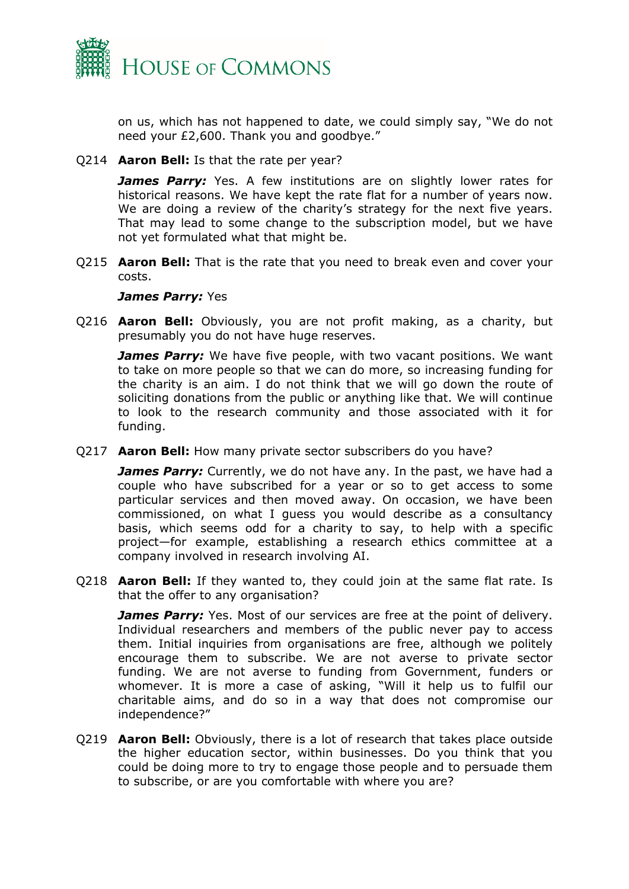

on us, which has not happened to date, we could simply say, "We do not need your £2,600. Thank you and goodbye."

Q214 **Aaron Bell:** Is that the rate per year?

**James Parry:** Yes. A few institutions are on slightly lower rates for historical reasons. We have kept the rate flat for a number of years now. We are doing a review of the charity's strategy for the next five years. That may lead to some change to the subscription model, but we have not yet formulated what that might be.

Q215 **Aaron Bell:** That is the rate that you need to break even and cover your costs.

#### *James Parry:* Yes

Q216 **Aaron Bell:** Obviously, you are not profit making, as a charity, but presumably you do not have huge reserves.

*James Parry:* We have five people, with two vacant positions. We want to take on more people so that we can do more, so increasing funding for the charity is an aim. I do not think that we will go down the route of soliciting donations from the public or anything like that. We will continue to look to the research community and those associated with it for funding.

Q217 **Aaron Bell:** How many private sector subscribers do you have?

**James Parry:** Currently, we do not have any. In the past, we have had a couple who have subscribed for a year or so to get access to some particular services and then moved away. On occasion, we have been commissioned, on what I guess you would describe as a consultancy basis, which seems odd for a charity to say, to help with a specific project—for example, establishing a research ethics committee at a company involved in research involving AI.

Q218 **Aaron Bell:** If they wanted to, they could join at the same flat rate. Is that the offer to any organisation?

*James Parry:* Yes. Most of our services are free at the point of delivery. Individual researchers and members of the public never pay to access them. Initial inquiries from organisations are free, although we politely encourage them to subscribe. We are not averse to private sector funding. We are not averse to funding from Government, funders or whomever. It is more a case of asking, "Will it help us to fulfil our charitable aims, and do so in a way that does not compromise our independence?"

Q219 **Aaron Bell:** Obviously, there is a lot of research that takes place outside the higher education sector, within businesses. Do you think that you could be doing more to try to engage those people and to persuade them to subscribe, or are you comfortable with where you are?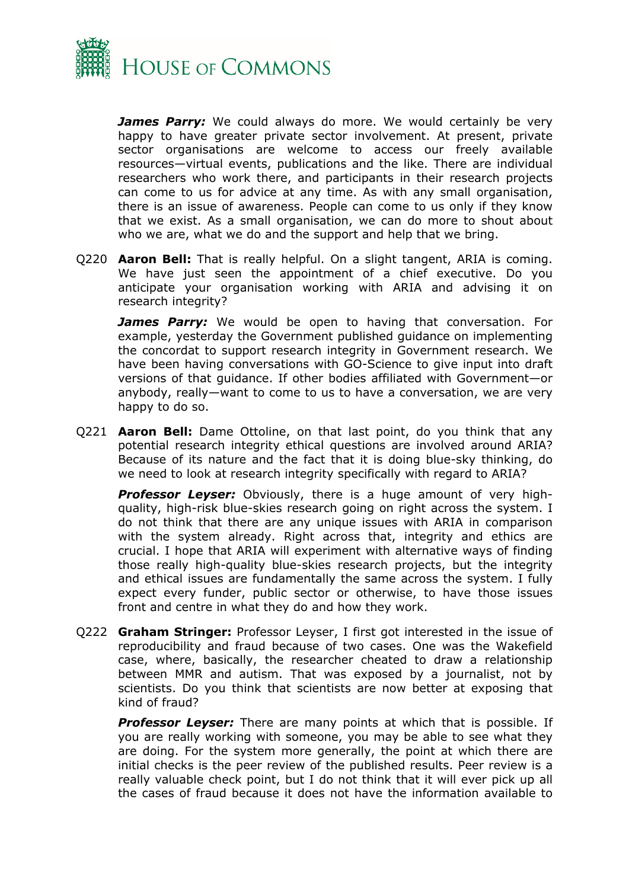

*James Parry:* We could always do more. We would certainly be very happy to have greater private sector involvement. At present, private sector organisations are welcome to access our freely available resources—virtual events, publications and the like. There are individual researchers who work there, and participants in their research projects can come to us for advice at any time. As with any small organisation, there is an issue of awareness. People can come to us only if they know that we exist. As a small organisation, we can do more to shout about who we are, what we do and the support and help that we bring.

Q220 **Aaron Bell:** That is really helpful. On a slight tangent, ARIA is coming. We have just seen the appointment of a chief executive. Do you anticipate your organisation working with ARIA and advising it on research integrity?

*James Parry:* We would be open to having that conversation. For example, yesterday the Government published guidance on implementing the concordat to support research integrity in Government research. We have been having conversations with GO-Science to give input into draft versions of that guidance. If other bodies affiliated with Government—or anybody, really—want to come to us to have a conversation, we are very happy to do so.

Q221 **Aaron Bell:** Dame Ottoline, on that last point, do you think that any potential research integrity ethical questions are involved around ARIA? Because of its nature and the fact that it is doing blue-sky thinking, do we need to look at research integrity specifically with regard to ARIA?

*Professor Leyser:* Obviously, there is a huge amount of very highquality, high-risk blue-skies research going on right across the system. I do not think that there are any unique issues with ARIA in comparison with the system already. Right across that, integrity and ethics are crucial. I hope that ARIA will experiment with alternative ways of finding those really high-quality blue-skies research projects, but the integrity and ethical issues are fundamentally the same across the system. I fully expect every funder, public sector or otherwise, to have those issues front and centre in what they do and how they work.

Q222 **Graham Stringer:** Professor Leyser, I first got interested in the issue of reproducibility and fraud because of two cases. One was the Wakefield case, where, basically, the researcher cheated to draw a relationship between MMR and autism. That was exposed by a journalist, not by scientists. Do you think that scientists are now better at exposing that kind of fraud?

*Professor Leyser:* There are many points at which that is possible. If you are really working with someone, you may be able to see what they are doing. For the system more generally, the point at which there are initial checks is the peer review of the published results. Peer review is a really valuable check point, but I do not think that it will ever pick up all the cases of fraud because it does not have the information available to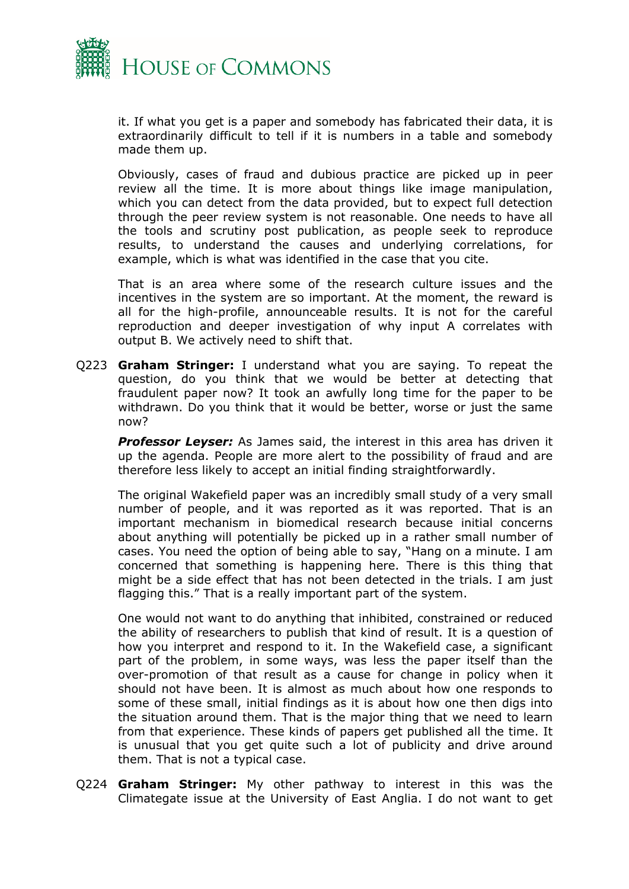

it. If what you get is a paper and somebody has fabricated their data, it is extraordinarily difficult to tell if it is numbers in a table and somebody made them up.

Obviously, cases of fraud and dubious practice are picked up in peer review all the time. It is more about things like image manipulation, which you can detect from the data provided, but to expect full detection through the peer review system is not reasonable. One needs to have all the tools and scrutiny post publication, as people seek to reproduce results, to understand the causes and underlying correlations, for example, which is what was identified in the case that you cite.

That is an area where some of the research culture issues and the incentives in the system are so important. At the moment, the reward is all for the high-profile, announceable results. It is not for the careful reproduction and deeper investigation of why input A correlates with output B. We actively need to shift that.

Q223 **Graham Stringer:** I understand what you are saying. To repeat the question, do you think that we would be better at detecting that fraudulent paper now? It took an awfully long time for the paper to be withdrawn. Do you think that it would be better, worse or just the same now?

*Professor Leyser:* As James said, the interest in this area has driven it up the agenda. People are more alert to the possibility of fraud and are therefore less likely to accept an initial finding straightforwardly.

The original Wakefield paper was an incredibly small study of a very small number of people, and it was reported as it was reported. That is an important mechanism in biomedical research because initial concerns about anything will potentially be picked up in a rather small number of cases. You need the option of being able to say, "Hang on a minute. I am concerned that something is happening here. There is this thing that might be a side effect that has not been detected in the trials. I am just flagging this." That is a really important part of the system.

One would not want to do anything that inhibited, constrained or reduced the ability of researchers to publish that kind of result. It is a question of how you interpret and respond to it. In the Wakefield case, a significant part of the problem, in some ways, was less the paper itself than the over-promotion of that result as a cause for change in policy when it should not have been. It is almost as much about how one responds to some of these small, initial findings as it is about how one then digs into the situation around them. That is the major thing that we need to learn from that experience. These kinds of papers get published all the time. It is unusual that you get quite such a lot of publicity and drive around them. That is not a typical case.

Q224 **Graham Stringer:** My other pathway to interest in this was the Climategate issue at the University of East Anglia. I do not want to get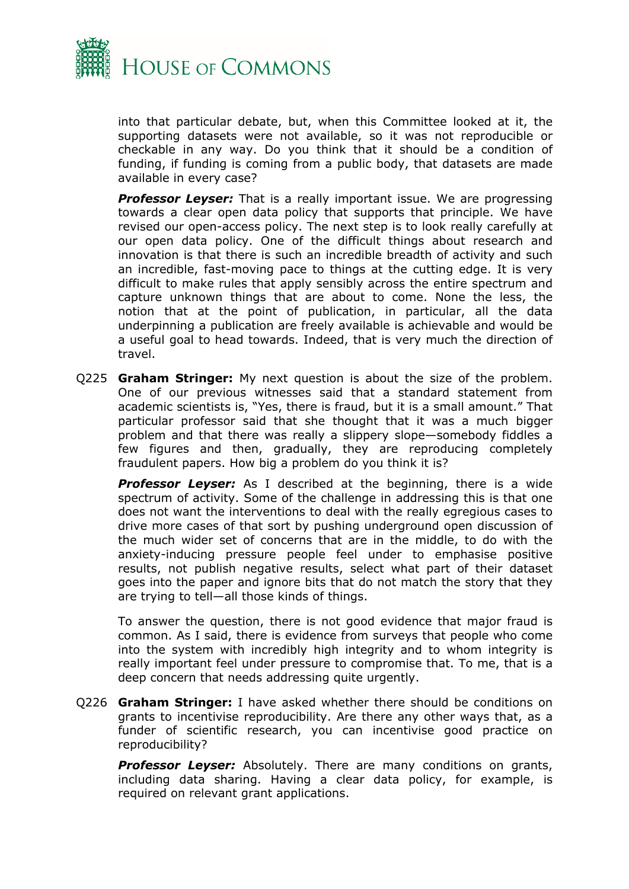

into that particular debate, but, when this Committee looked at it, the supporting datasets were not available, so it was not reproducible or checkable in any way. Do you think that it should be a condition of funding, if funding is coming from a public body, that datasets are made available in every case?

*Professor Leyser:* That is a really important issue. We are progressing towards a clear open data policy that supports that principle. We have revised our open-access policy. The next step is to look really carefully at our open data policy. One of the difficult things about research and innovation is that there is such an incredible breadth of activity and such an incredible, fast-moving pace to things at the cutting edge. It is very difficult to make rules that apply sensibly across the entire spectrum and capture unknown things that are about to come. None the less, the notion that at the point of publication, in particular, all the data underpinning a publication are freely available is achievable and would be a useful goal to head towards. Indeed, that is very much the direction of travel.

Q225 **Graham Stringer:** My next question is about the size of the problem. One of our previous witnesses said that a standard statement from academic scientists is, "Yes, there is fraud, but it is a small amount." That particular professor said that she thought that it was a much bigger problem and that there was really a slippery slope—somebody fiddles a few figures and then, gradually, they are reproducing completely fraudulent papers. How big a problem do you think it is?

**Professor Leyser:** As I described at the beginning, there is a wide spectrum of activity. Some of the challenge in addressing this is that one does not want the interventions to deal with the really egregious cases to drive more cases of that sort by pushing underground open discussion of the much wider set of concerns that are in the middle, to do with the anxiety-inducing pressure people feel under to emphasise positive results, not publish negative results, select what part of their dataset goes into the paper and ignore bits that do not match the story that they are trying to tell—all those kinds of things.

To answer the question, there is not good evidence that major fraud is common. As I said, there is evidence from surveys that people who come into the system with incredibly high integrity and to whom integrity is really important feel under pressure to compromise that. To me, that is a deep concern that needs addressing quite urgently.

Q226 **Graham Stringer:** I have asked whether there should be conditions on grants to incentivise reproducibility. Are there any other ways that, as a funder of scientific research, you can incentivise good practice on reproducibility?

**Professor Leyser:** Absolutely. There are many conditions on grants, including data sharing. Having a clear data policy, for example, is required on relevant grant applications.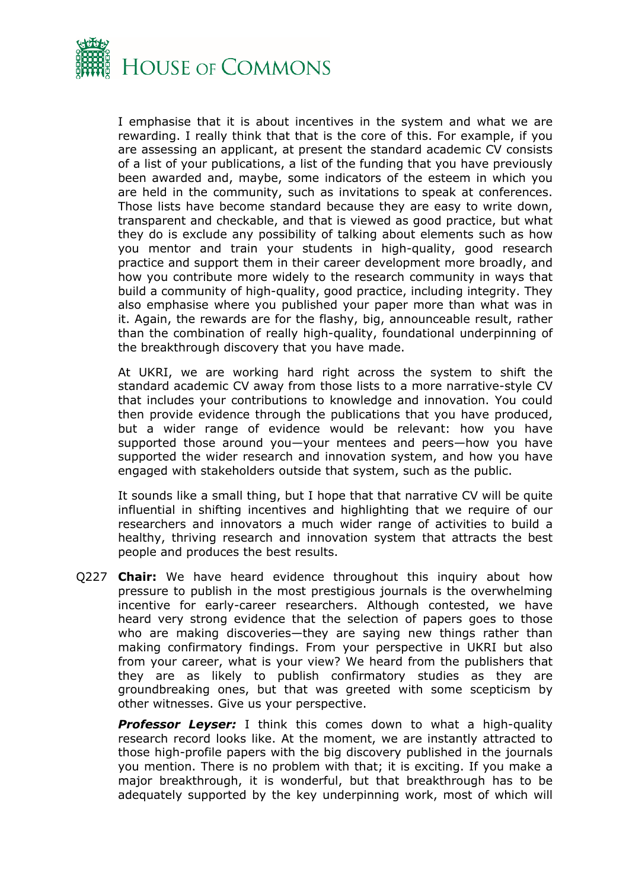

I emphasise that it is about incentives in the system and what we are rewarding. I really think that that is the core of this. For example, if you are assessing an applicant, at present the standard academic CV consists of a list of your publications, a list of the funding that you have previously been awarded and, maybe, some indicators of the esteem in which you are held in the community, such as invitations to speak at conferences. Those lists have become standard because they are easy to write down, transparent and checkable, and that is viewed as good practice, but what they do is exclude any possibility of talking about elements such as how you mentor and train your students in high-quality, good research practice and support them in their career development more broadly, and how you contribute more widely to the research community in ways that build a community of high-quality, good practice, including integrity. They also emphasise where you published your paper more than what was in it. Again, the rewards are for the flashy, big, announceable result, rather than the combination of really high-quality, foundational underpinning of the breakthrough discovery that you have made.

At UKRI, we are working hard right across the system to shift the standard academic CV away from those lists to a more narrative-style CV that includes your contributions to knowledge and innovation. You could then provide evidence through the publications that you have produced, but a wider range of evidence would be relevant: how you have supported those around you—your mentees and peers—how you have supported the wider research and innovation system, and how you have engaged with stakeholders outside that system, such as the public.

It sounds like a small thing, but I hope that that narrative CV will be quite influential in shifting incentives and highlighting that we require of our researchers and innovators a much wider range of activities to build a healthy, thriving research and innovation system that attracts the best people and produces the best results.

Q227 **Chair:** We have heard evidence throughout this inquiry about how pressure to publish in the most prestigious journals is the overwhelming incentive for early-career researchers. Although contested, we have heard very strong evidence that the selection of papers goes to those who are making discoveries—they are saying new things rather than making confirmatory findings. From your perspective in UKRI but also from your career, what is your view? We heard from the publishers that they are as likely to publish confirmatory studies as they are groundbreaking ones, but that was greeted with some scepticism by other witnesses. Give us your perspective.

**Professor Leyser:** I think this comes down to what a high-quality research record looks like. At the moment, we are instantly attracted to those high-profile papers with the big discovery published in the journals you mention. There is no problem with that; it is exciting. If you make a major breakthrough, it is wonderful, but that breakthrough has to be adequately supported by the key underpinning work, most of which will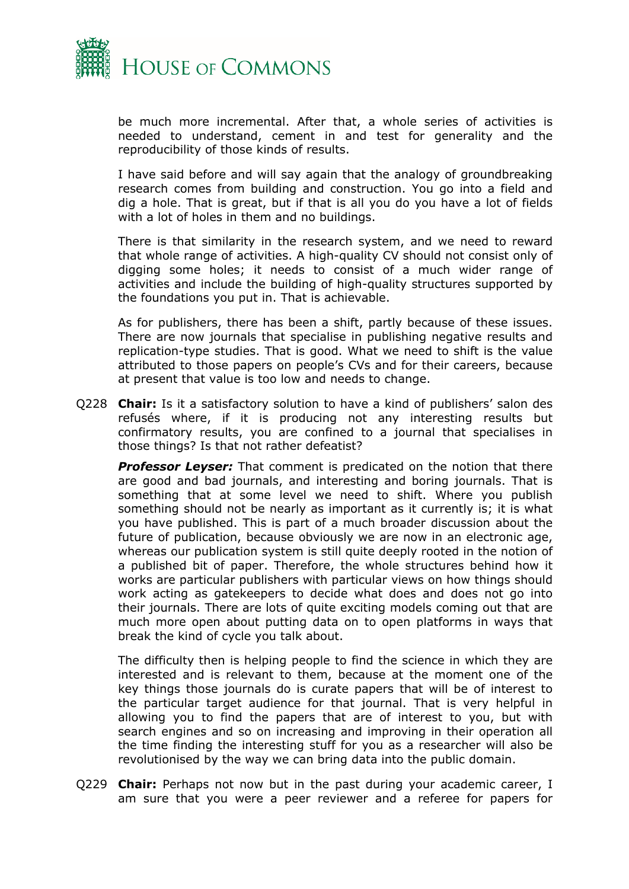

be much more incremental. After that, a whole series of activities is needed to understand, cement in and test for generality and the reproducibility of those kinds of results.

I have said before and will say again that the analogy of groundbreaking research comes from building and construction. You go into a field and dig a hole. That is great, but if that is all you do you have a lot of fields with a lot of holes in them and no buildings.

There is that similarity in the research system, and we need to reward that whole range of activities. A high-quality CV should not consist only of digging some holes; it needs to consist of a much wider range of activities and include the building of high-quality structures supported by the foundations you put in. That is achievable.

As for publishers, there has been a shift, partly because of these issues. There are now journals that specialise in publishing negative results and replication-type studies. That is good. What we need to shift is the value attributed to those papers on people's CVs and for their careers, because at present that value is too low and needs to change.

Q228 **Chair:** Is it a satisfactory solution to have a kind of publishers' salon des refusés where, if it is producing not any interesting results but confirmatory results, you are confined to a journal that specialises in those things? Is that not rather defeatist?

*Professor Leyser:* That comment is predicated on the notion that there are good and bad journals, and interesting and boring journals. That is something that at some level we need to shift. Where you publish something should not be nearly as important as it currently is; it is what you have published. This is part of a much broader discussion about the future of publication, because obviously we are now in an electronic age, whereas our publication system is still quite deeply rooted in the notion of a published bit of paper. Therefore, the whole structures behind how it works are particular publishers with particular views on how things should work acting as gatekeepers to decide what does and does not go into their journals. There are lots of quite exciting models coming out that are much more open about putting data on to open platforms in ways that break the kind of cycle you talk about.

The difficulty then is helping people to find the science in which they are interested and is relevant to them, because at the moment one of the key things those journals do is curate papers that will be of interest to the particular target audience for that journal. That is very helpful in allowing you to find the papers that are of interest to you, but with search engines and so on increasing and improving in their operation all the time finding the interesting stuff for you as a researcher will also be revolutionised by the way we can bring data into the public domain.

Q229 **Chair:** Perhaps not now but in the past during your academic career, I am sure that you were a peer reviewer and a referee for papers for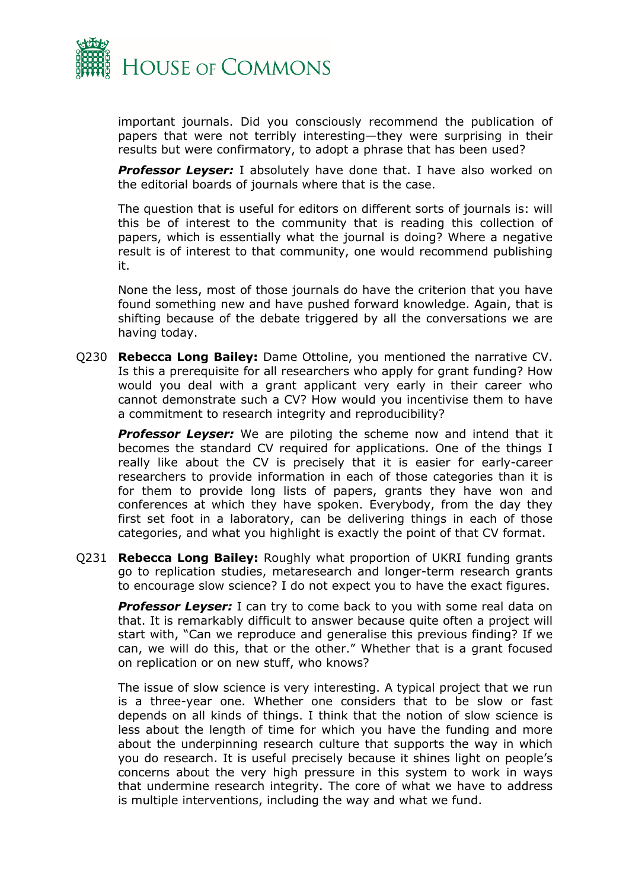

important journals. Did you consciously recommend the publication of papers that were not terribly interesting—they were surprising in their results but were confirmatory, to adopt a phrase that has been used?

*Professor Leyser:* I absolutely have done that. I have also worked on the editorial boards of journals where that is the case.

The question that is useful for editors on different sorts of journals is: will this be of interest to the community that is reading this collection of papers, which is essentially what the journal is doing? Where a negative result is of interest to that community, one would recommend publishing it.

None the less, most of those journals do have the criterion that you have found something new and have pushed forward knowledge. Again, that is shifting because of the debate triggered by all the conversations we are having today.

Q230 **Rebecca Long Bailey:** Dame Ottoline, you mentioned the narrative CV. Is this a prerequisite for all researchers who apply for grant funding? How would you deal with a grant applicant very early in their career who cannot demonstrate such a CV? How would you incentivise them to have a commitment to research integrity and reproducibility?

*Professor Leyser:* We are piloting the scheme now and intend that it becomes the standard CV required for applications. One of the things I really like about the CV is precisely that it is easier for early-career researchers to provide information in each of those categories than it is for them to provide long lists of papers, grants they have won and conferences at which they have spoken. Everybody, from the day they first set foot in a laboratory, can be delivering things in each of those categories, and what you highlight is exactly the point of that CV format.

Q231 **Rebecca Long Bailey:** Roughly what proportion of UKRI funding grants go to replication studies, metaresearch and longer-term research grants to encourage slow science? I do not expect you to have the exact figures.

**Professor Leyser:** I can try to come back to you with some real data on that. It is remarkably difficult to answer because quite often a project will start with, "Can we reproduce and generalise this previous finding? If we can, we will do this, that or the other." Whether that is a grant focused on replication or on new stuff, who knows?

The issue of slow science is very interesting. A typical project that we run is a three-year one. Whether one considers that to be slow or fast depends on all kinds of things. I think that the notion of slow science is less about the length of time for which you have the funding and more about the underpinning research culture that supports the way in which you do research. It is useful precisely because it shines light on people's concerns about the very high pressure in this system to work in ways that undermine research integrity. The core of what we have to address is multiple interventions, including the way and what we fund.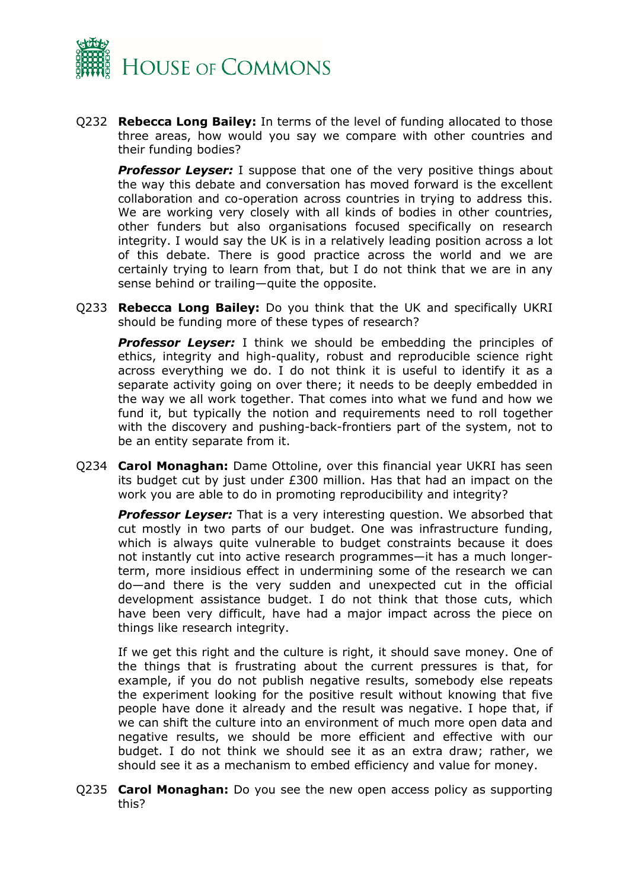

Q232 **Rebecca Long Bailey:** In terms of the level of funding allocated to those three areas, how would you say we compare with other countries and their funding bodies?

**Professor Leyser:** I suppose that one of the very positive things about the way this debate and conversation has moved forward is the excellent collaboration and co-operation across countries in trying to address this. We are working very closely with all kinds of bodies in other countries, other funders but also organisations focused specifically on research integrity. I would say the UK is in a relatively leading position across a lot of this debate. There is good practice across the world and we are certainly trying to learn from that, but I do not think that we are in any sense behind or trailing—quite the opposite.

Q233 **Rebecca Long Bailey:** Do you think that the UK and specifically UKRI should be funding more of these types of research?

*Professor Leyser:* I think we should be embedding the principles of ethics, integrity and high-quality, robust and reproducible science right across everything we do. I do not think it is useful to identify it as a separate activity going on over there; it needs to be deeply embedded in the way we all work together. That comes into what we fund and how we fund it, but typically the notion and requirements need to roll together with the discovery and pushing-back-frontiers part of the system, not to be an entity separate from it.

Q234 **Carol Monaghan:** Dame Ottoline, over this financial year UKRI has seen its budget cut by just under £300 million. Has that had an impact on the work you are able to do in promoting reproducibility and integrity?

**Professor Levser:** That is a very interesting question. We absorbed that cut mostly in two parts of our budget. One was infrastructure funding, which is always quite vulnerable to budget constraints because it does not instantly cut into active research programmes—it has a much longerterm, more insidious effect in undermining some of the research we can do—and there is the very sudden and unexpected cut in the official development assistance budget. I do not think that those cuts, which have been very difficult, have had a major impact across the piece on things like research integrity.

If we get this right and the culture is right, it should save money. One of the things that is frustrating about the current pressures is that, for example, if you do not publish negative results, somebody else repeats the experiment looking for the positive result without knowing that five people have done it already and the result was negative. I hope that, if we can shift the culture into an environment of much more open data and negative results, we should be more efficient and effective with our budget. I do not think we should see it as an extra draw; rather, we should see it as a mechanism to embed efficiency and value for money.

Q235 **Carol Monaghan:** Do you see the new open access policy as supporting this?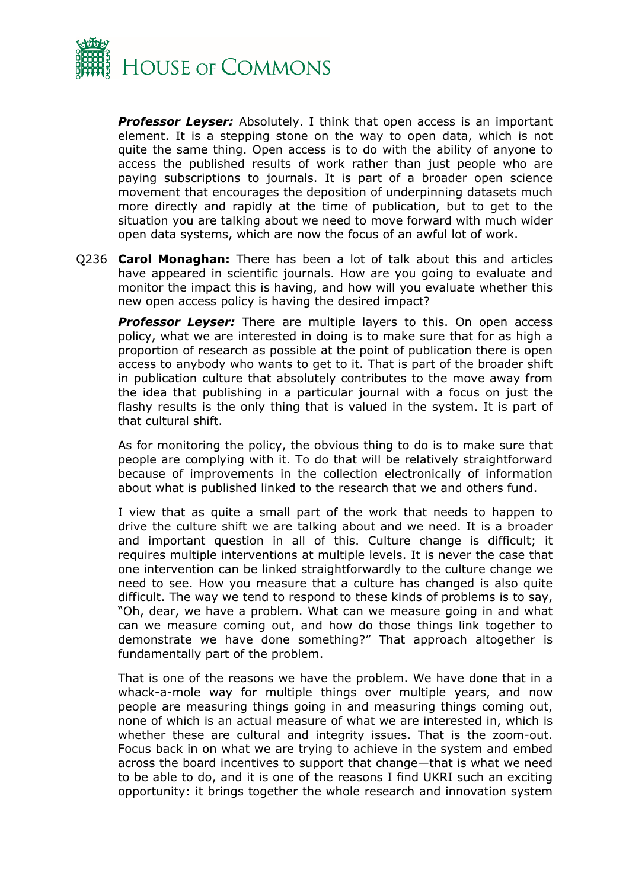

*Professor Leyser:* Absolutely. I think that open access is an important element. It is a stepping stone on the way to open data, which is not quite the same thing. Open access is to do with the ability of anyone to access the published results of work rather than just people who are paying subscriptions to journals. It is part of a broader open science movement that encourages the deposition of underpinning datasets much more directly and rapidly at the time of publication, but to get to the situation you are talking about we need to move forward with much wider open data systems, which are now the focus of an awful lot of work.

Q236 **Carol Monaghan:** There has been a lot of talk about this and articles have appeared in scientific journals. How are you going to evaluate and monitor the impact this is having, and how will you evaluate whether this new open access policy is having the desired impact?

**Professor Leyser:** There are multiple layers to this. On open access policy, what we are interested in doing is to make sure that for as high a proportion of research as possible at the point of publication there is open access to anybody who wants to get to it. That is part of the broader shift in publication culture that absolutely contributes to the move away from the idea that publishing in a particular journal with a focus on just the flashy results is the only thing that is valued in the system. It is part of that cultural shift.

As for monitoring the policy, the obvious thing to do is to make sure that people are complying with it. To do that will be relatively straightforward because of improvements in the collection electronically of information about what is published linked to the research that we and others fund.

I view that as quite a small part of the work that needs to happen to drive the culture shift we are talking about and we need. It is a broader and important question in all of this. Culture change is difficult; it requires multiple interventions at multiple levels. It is never the case that one intervention can be linked straightforwardly to the culture change we need to see. How you measure that a culture has changed is also quite difficult. The way we tend to respond to these kinds of problems is to say, "Oh, dear, we have a problem. What can we measure going in and what can we measure coming out, and how do those things link together to demonstrate we have done something?" That approach altogether is fundamentally part of the problem.

That is one of the reasons we have the problem. We have done that in a whack-a-mole way for multiple things over multiple years, and now people are measuring things going in and measuring things coming out, none of which is an actual measure of what we are interested in, which is whether these are cultural and integrity issues. That is the zoom-out. Focus back in on what we are trying to achieve in the system and embed across the board incentives to support that change—that is what we need to be able to do, and it is one of the reasons I find UKRI such an exciting opportunity: it brings together the whole research and innovation system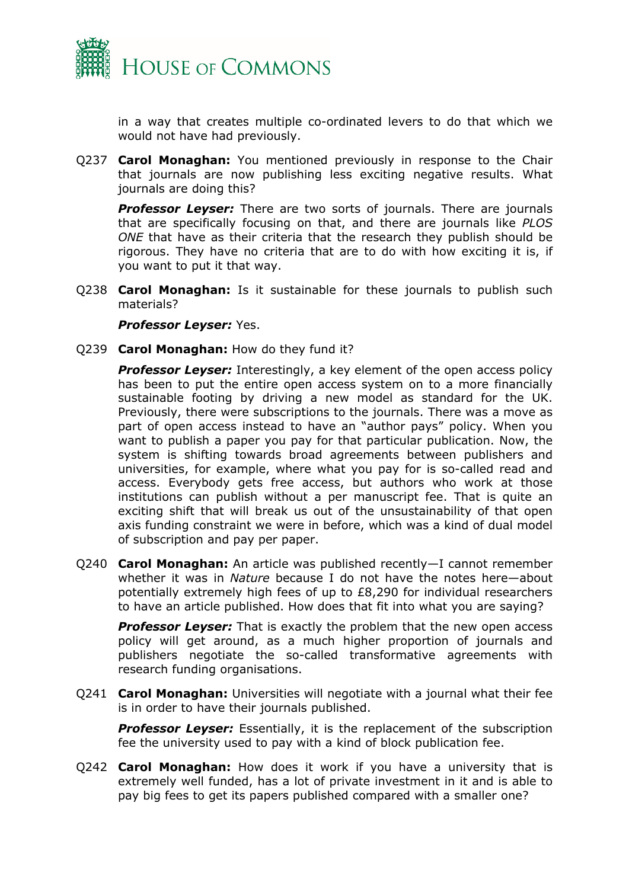

in a way that creates multiple co-ordinated levers to do that which we would not have had previously.

Q237 **Carol Monaghan:** You mentioned previously in response to the Chair that journals are now publishing less exciting negative results. What journals are doing this?

**Professor Leyser:** There are two sorts of journals. There are journals that are specifically focusing on that, and there are journals like *PLOS ONE* that have as their criteria that the research they publish should be rigorous. They have no criteria that are to do with how exciting it is, if you want to put it that way.

Q238 **Carol Monaghan:** Is it sustainable for these journals to publish such materials?

*Professor Leyser:* Yes.

Q239 **Carol Monaghan:** How do they fund it?

**Professor Leyser:** Interestingly, a key element of the open access policy has been to put the entire open access system on to a more financially sustainable footing by driving a new model as standard for the UK. Previously, there were subscriptions to the journals. There was a move as part of open access instead to have an "author pays" policy. When you want to publish a paper you pay for that particular publication. Now, the system is shifting towards broad agreements between publishers and universities, for example, where what you pay for is so-called read and access. Everybody gets free access, but authors who work at those institutions can publish without a per manuscript fee. That is quite an exciting shift that will break us out of the unsustainability of that open axis funding constraint we were in before, which was a kind of dual model of subscription and pay per paper.

Q240 **Carol Monaghan:** An article was published recently—I cannot remember whether it was in *Nature* because I do not have the notes here—about potentially extremely high fees of up to £8,290 for individual researchers to have an article published. How does that fit into what you are saying?

**Professor Leyser:** That is exactly the problem that the new open access policy will get around, as a much higher proportion of journals and publishers negotiate the so-called transformative agreements with research funding organisations.

Q241 **Carol Monaghan:** Universities will negotiate with a journal what their fee is in order to have their journals published.

*Professor Leyser:* Essentially, it is the replacement of the subscription fee the university used to pay with a kind of block publication fee.

Q242 **Carol Monaghan:** How does it work if you have a university that is extremely well funded, has a lot of private investment in it and is able to pay big fees to get its papers published compared with a smaller one?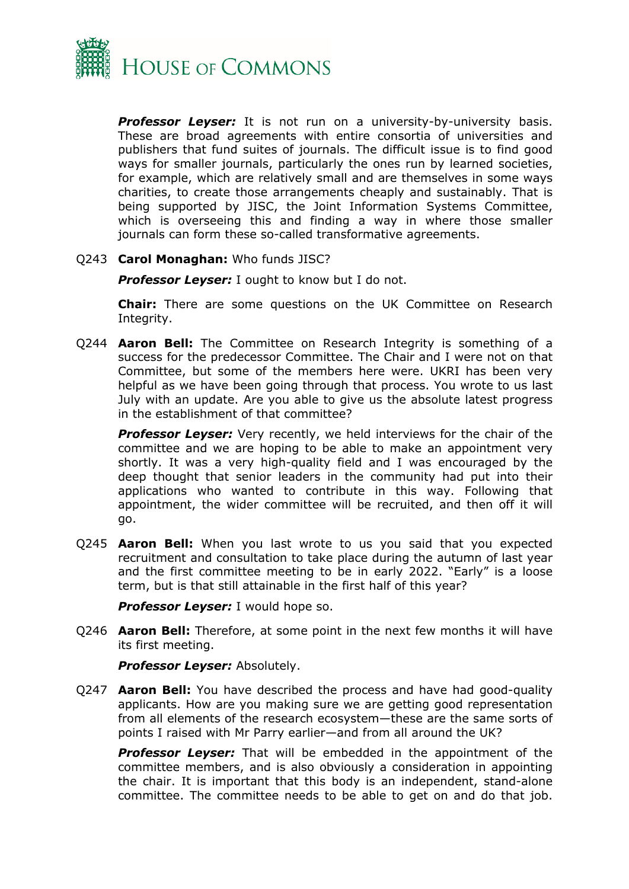

**Professor Leyser:** It is not run on a university-by-university basis. These are broad agreements with entire consortia of universities and publishers that fund suites of journals. The difficult issue is to find good ways for smaller journals, particularly the ones run by learned societies, for example, which are relatively small and are themselves in some ways charities, to create those arrangements cheaply and sustainably. That is being supported by JISC, the Joint Information Systems Committee, which is overseeing this and finding a way in where those smaller journals can form these so-called transformative agreements.

#### Q243 **Carol Monaghan:** Who funds JISC?

*Professor Leyser:* I ought to know but I do not.

**Chair:** There are some questions on the UK Committee on Research Integrity.

Q244 **Aaron Bell:** The Committee on Research Integrity is something of a success for the predecessor Committee. The Chair and I were not on that Committee, but some of the members here were. UKRI has been very helpful as we have been going through that process. You wrote to us last July with an update. Are you able to give us the absolute latest progress in the establishment of that committee?

*Professor Leyser:* Very recently, we held interviews for the chair of the committee and we are hoping to be able to make an appointment very shortly. It was a very high-quality field and I was encouraged by the deep thought that senior leaders in the community had put into their applications who wanted to contribute in this way. Following that appointment, the wider committee will be recruited, and then off it will go.

Q245 **Aaron Bell:** When you last wrote to us you said that you expected recruitment and consultation to take place during the autumn of last year and the first committee meeting to be in early 2022. "Early" is a loose term, but is that still attainable in the first half of this year?

*Professor Leyser:* I would hope so.

Q246 **Aaron Bell:** Therefore, at some point in the next few months it will have its first meeting.

*Professor Leyser:* Absolutely.

Q247 **Aaron Bell:** You have described the process and have had good-quality applicants. How are you making sure we are getting good representation from all elements of the research ecosystem—these are the same sorts of points I raised with Mr Parry earlier—and from all around the UK?

**Professor Leyser:** That will be embedded in the appointment of the committee members, and is also obviously a consideration in appointing the chair. It is important that this body is an independent, stand-alone committee. The committee needs to be able to get on and do that job.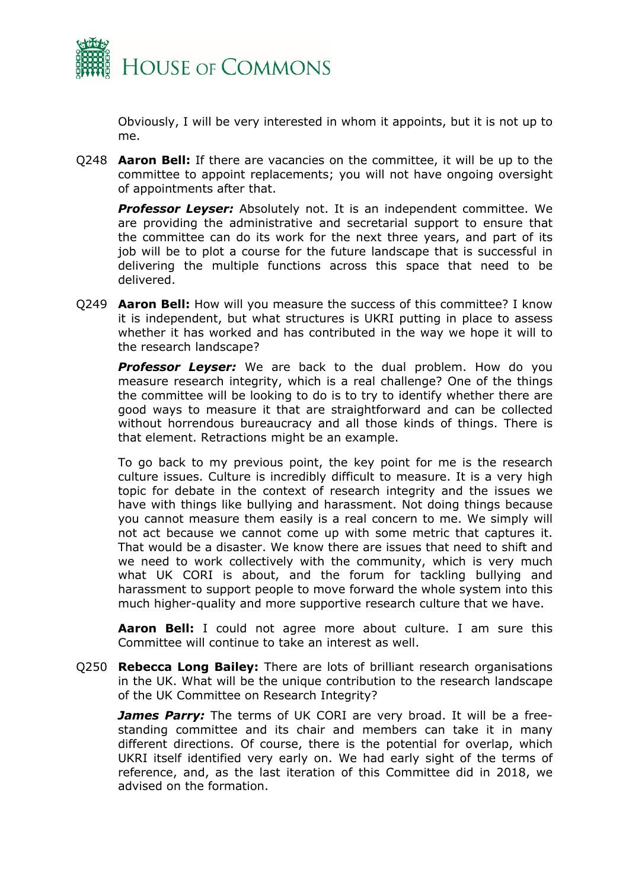

Obviously, I will be very interested in whom it appoints, but it is not up to me.

Q248 **Aaron Bell:** If there are vacancies on the committee, it will be up to the committee to appoint replacements; you will not have ongoing oversight of appointments after that.

*Professor Leyser:* Absolutely not. It is an independent committee. We are providing the administrative and secretarial support to ensure that the committee can do its work for the next three years, and part of its job will be to plot a course for the future landscape that is successful in delivering the multiple functions across this space that need to be delivered.

Q249 **Aaron Bell:** How will you measure the success of this committee? I know it is independent, but what structures is UKRI putting in place to assess whether it has worked and has contributed in the way we hope it will to the research landscape?

**Professor Leyser:** We are back to the dual problem. How do you measure research integrity, which is a real challenge? One of the things the committee will be looking to do is to try to identify whether there are good ways to measure it that are straightforward and can be collected without horrendous bureaucracy and all those kinds of things. There is that element. Retractions might be an example.

To go back to my previous point, the key point for me is the research culture issues. Culture is incredibly difficult to measure. It is a very high topic for debate in the context of research integrity and the issues we have with things like bullying and harassment. Not doing things because you cannot measure them easily is a real concern to me. We simply will not act because we cannot come up with some metric that captures it. That would be a disaster. We know there are issues that need to shift and we need to work collectively with the community, which is very much what UK CORI is about, and the forum for tackling bullying and harassment to support people to move forward the whole system into this much higher-quality and more supportive research culture that we have.

**Aaron Bell:** I could not agree more about culture. I am sure this Committee will continue to take an interest as well.

Q250 **Rebecca Long Bailey:** There are lots of brilliant research organisations in the UK. What will be the unique contribution to the research landscape of the UK Committee on Research Integrity?

*James Parry:* The terms of UK CORI are very broad. It will be a freestanding committee and its chair and members can take it in many different directions. Of course, there is the potential for overlap, which UKRI itself identified very early on. We had early sight of the terms of reference, and, as the last iteration of this Committee did in 2018, we advised on the formation.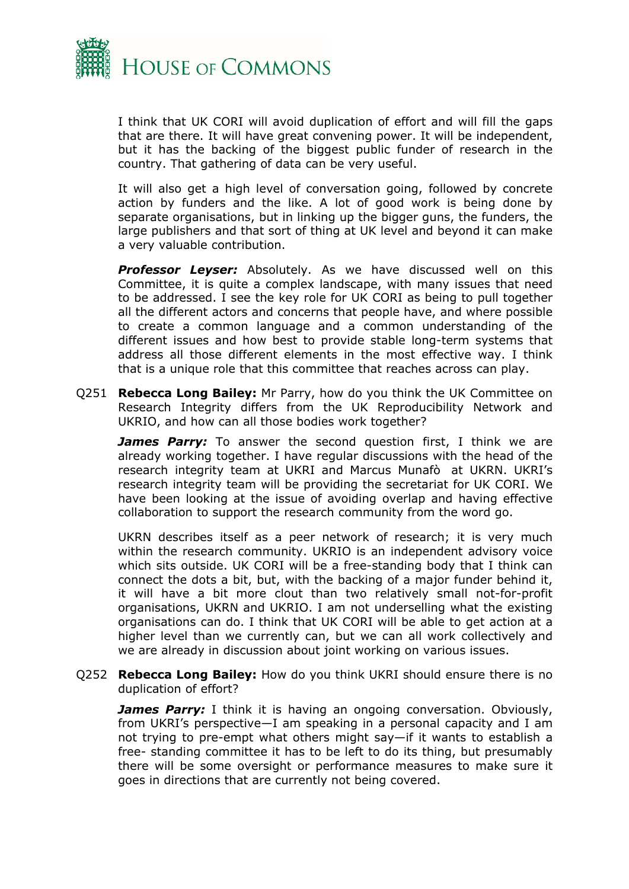

I think that UK CORI will avoid duplication of effort and will fill the gaps that are there. It will have great convening power. It will be independent, but it has the backing of the biggest public funder of research in the country. That gathering of data can be very useful.

It will also get a high level of conversation going, followed by concrete action by funders and the like. A lot of good work is being done by separate organisations, but in linking up the bigger guns, the funders, the large publishers and that sort of thing at UK level and beyond it can make a very valuable contribution.

*Professor Leyser:* Absolutely. As we have discussed well on this Committee, it is quite a complex landscape, with many issues that need to be addressed. I see the key role for UK CORI as being to pull together all the different actors and concerns that people have, and where possible to create a common language and a common understanding of the different issues and how best to provide stable long-term systems that address all those different elements in the most effective way. I think that is a unique role that this committee that reaches across can play.

Q251 **Rebecca Long Bailey:** Mr Parry, how do you think the UK Committee on Research Integrity differs from the UK Reproducibility Network and UKRIO, and how can all those bodies work together?

*James Parry:* To answer the second question first, I think we are already working together. I have regular discussions with the head of the research integrity team at UKRI and Marcus Munafò at UKRN. UKRI's research integrity team will be providing the secretariat for UK CORI. We have been looking at the issue of avoiding overlap and having effective collaboration to support the research community from the word go.

UKRN describes itself as a peer network of research; it is very much within the research community. UKRIO is an independent advisory voice which sits outside. UK CORI will be a free-standing body that I think can connect the dots a bit, but, with the backing of a major funder behind it, it will have a bit more clout than two relatively small not-for-profit organisations, UKRN and UKRIO. I am not underselling what the existing organisations can do. I think that UK CORI will be able to get action at a higher level than we currently can, but we can all work collectively and we are already in discussion about joint working on various issues.

Q252 **Rebecca Long Bailey:** How do you think UKRI should ensure there is no duplication of effort?

*James Parry:* I think it is having an ongoing conversation. Obviously, from UKRI's perspective—I am speaking in a personal capacity and I am not trying to pre-empt what others might say—if it wants to establish a free- standing committee it has to be left to do its thing, but presumably there will be some oversight or performance measures to make sure it goes in directions that are currently not being covered.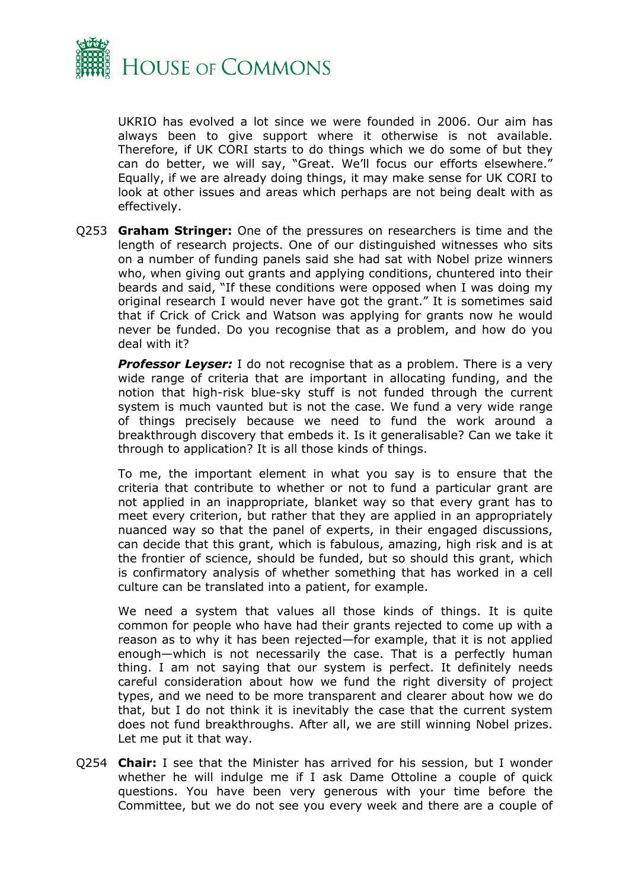

UKRIO has evolved a lot since we were founded in 2006. Our aim has always been to give support where it otherwise is not available. Therefore, if UK CORI starts to do things which we do some of but they can do better, we will say, "Great. We'll focus our efforts elsewhere." Equally, if we are already doing things, it may make sense for UK CORI to look at other issues and areas which perhaps are not being dealt with as effectively.

Q253 **Graham Stringer:** One of the pressures on researchers is time and the length of research projects. One of our distinguished witnesses who sits on a number of funding panels said she had sat with Nobel prize winners who, when giving out grants and applying conditions, chuntered into their beards and said, "If these conditions were opposed when I was doing my original research I would never have got the grant." It is sometimes said that if Crick of Crick and Watson was applying for grants now he would never be funded. Do you recognise that as a problem, and how do you deal with it?

**Professor Leyser:** I do not recognise that as a problem. There is a very wide range of criteria that are important in allocating funding, and the notion that high-risk blue-sky stuff is not funded through the current system is much vaunted but is not the case. We fund a very wide range of things precisely because we need to fund the work around a breakthrough discovery that embeds it. Is it generalisable? Can we take it through to application? It is all those kinds of things.

To me, the important element in what you say is to ensure that the criteria that contribute to whether or not to fund a particular grant are not applied in an inappropriate, blanket way so that every grant has to meet every criterion, but rather that they are applied in an appropriately nuanced way so that the panel of experts, in their engaged discussions, can decide that this grant, which is fabulous, amazing, high risk and is at the frontier of science, should be funded, but so should this grant, which is confirmatory analysis of whether something that has worked in a cell culture can be translated into a patient, for example.

We need a system that values all those kinds of things. It is quite common for people who have had their grants rejected to come up with a reason as to why it has been rejected—for example, that it is not applied enough—which is not necessarily the case. That is a perfectly human thing. I am not saying that our system is perfect. It definitely needs careful consideration about how we fund the right diversity of project types, and we need to be more transparent and clearer about how we do that, but I do not think it is inevitably the case that the current system does not fund breakthroughs. After all, we are still winning Nobel prizes. Let me put it that way.

Q254 **Chair:** I see that the Minister has arrived for his session, but I wonder whether he will indulge me if I ask Dame Ottoline a couple of quick questions. You have been very generous with your time before the Committee, but we do not see you every week and there are a couple of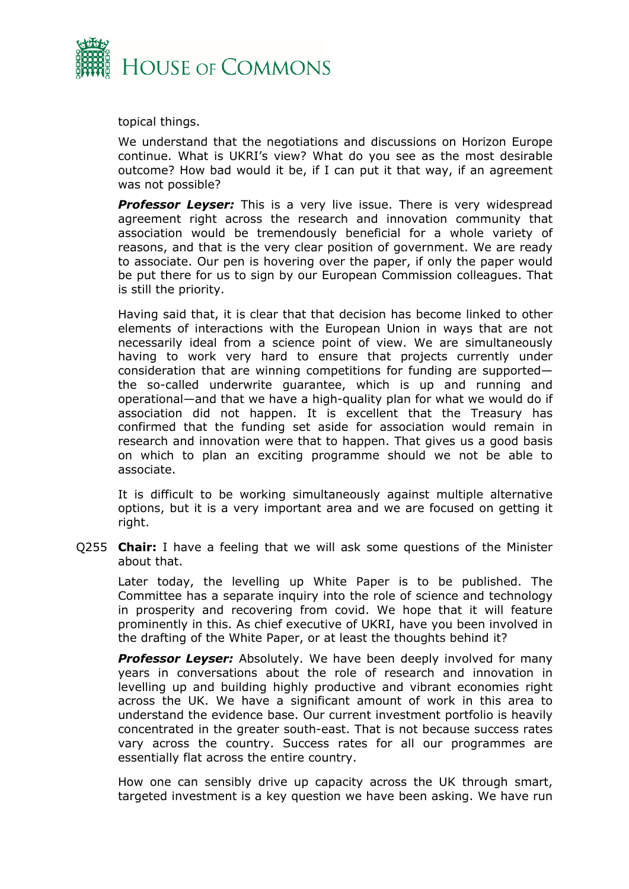

topical things.

We understand that the negotiations and discussions on Horizon Europe continue. What is UKRI's view? What do you see as the most desirable outcome? How bad would it be, if I can put it that way, if an agreement was not possible?

**Professor Leyser:** This is a very live issue. There is very widespread agreement right across the research and innovation community that association would be tremendously beneficial for a whole variety of reasons, and that is the very clear position of government. We are ready to associate. Our pen is hovering over the paper, if only the paper would be put there for us to sign by our European Commission colleagues. That is still the priority.

Having said that, it is clear that that decision has become linked to other elements of interactions with the European Union in ways that are not necessarily ideal from a science point of view. We are simultaneously having to work very hard to ensure that projects currently under consideration that are winning competitions for funding are supported the so-called underwrite guarantee, which is up and running and operational—and that we have a high-quality plan for what we would do if association did not happen. It is excellent that the Treasury has confirmed that the funding set aside for association would remain in research and innovation were that to happen. That gives us a good basis on which to plan an exciting programme should we not be able to associate.

It is difficult to be working simultaneously against multiple alternative options, but it is a very important area and we are focused on getting it right.

Q255 **Chair:** I have a feeling that we will ask some questions of the Minister about that.

Later today, the levelling up White Paper is to be published. The Committee has a separate inquiry into the role of science and technology in prosperity and recovering from covid. We hope that it will feature prominently in this. As chief executive of UKRI, have you been involved in the drafting of the White Paper, or at least the thoughts behind it?

**Professor Leyser:** Absolutely. We have been deeply involved for many years in conversations about the role of research and innovation in levelling up and building highly productive and vibrant economies right across the UK. We have a significant amount of work in this area to understand the evidence base. Our current investment portfolio is heavily concentrated in the greater south-east. That is not because success rates vary across the country. Success rates for all our programmes are essentially flat across the entire country.

How one can sensibly drive up capacity across the UK through smart, targeted investment is a key question we have been asking. We have run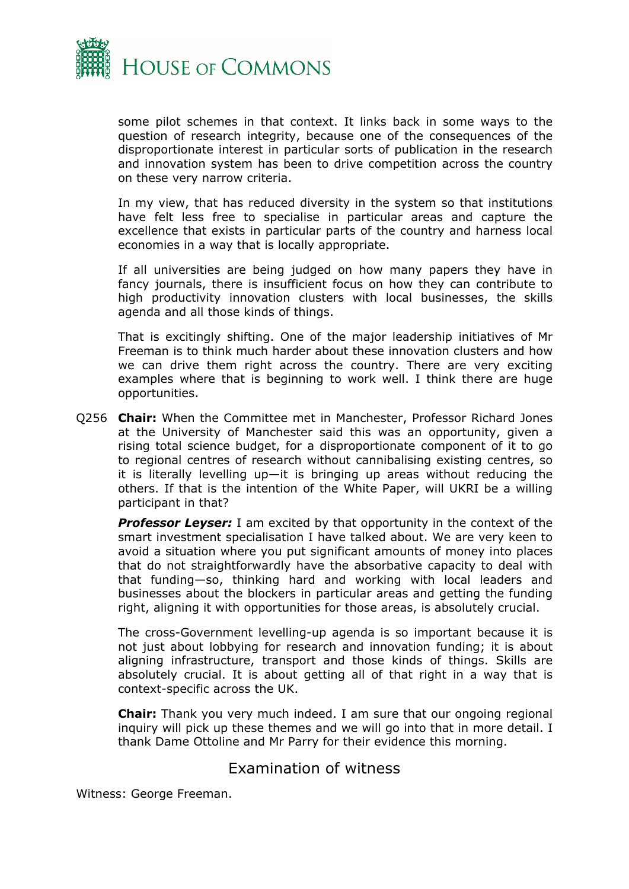

some pilot schemes in that context. It links back in some ways to the question of research integrity, because one of the consequences of the disproportionate interest in particular sorts of publication in the research and innovation system has been to drive competition across the country on these very narrow criteria.

In my view, that has reduced diversity in the system so that institutions have felt less free to specialise in particular areas and capture the excellence that exists in particular parts of the country and harness local economies in a way that is locally appropriate.

If all universities are being judged on how many papers they have in fancy journals, there is insufficient focus on how they can contribute to high productivity innovation clusters with local businesses, the skills agenda and all those kinds of things.

That is excitingly shifting. One of the major leadership initiatives of Mr Freeman is to think much harder about these innovation clusters and how we can drive them right across the country. There are very exciting examples where that is beginning to work well. I think there are huge opportunities.

Q256 **Chair:** When the Committee met in Manchester, Professor Richard Jones at the University of Manchester said this was an opportunity, given a rising total science budget, for a disproportionate component of it to go to regional centres of research without cannibalising existing centres, so it is literally levelling up—it is bringing up areas without reducing the others. If that is the intention of the White Paper, will UKRI be a willing participant in that?

**Professor Leyser:** I am excited by that opportunity in the context of the smart investment specialisation I have talked about. We are very keen to avoid a situation where you put significant amounts of money into places that do not straightforwardly have the absorbative capacity to deal with that funding—so, thinking hard and working with local leaders and businesses about the blockers in particular areas and getting the funding right, aligning it with opportunities for those areas, is absolutely crucial.

The cross-Government levelling-up agenda is so important because it is not just about lobbying for research and innovation funding; it is about aligning infrastructure, transport and those kinds of things. Skills are absolutely crucial. It is about getting all of that right in a way that is context-specific across the UK.

**Chair:** Thank you very much indeed. I am sure that our ongoing regional inquiry will pick up these themes and we will go into that in more detail. I thank Dame Ottoline and Mr Parry for their evidence this morning.

# <span id="page-20-0"></span>Examination of witness

Witness: George Freeman.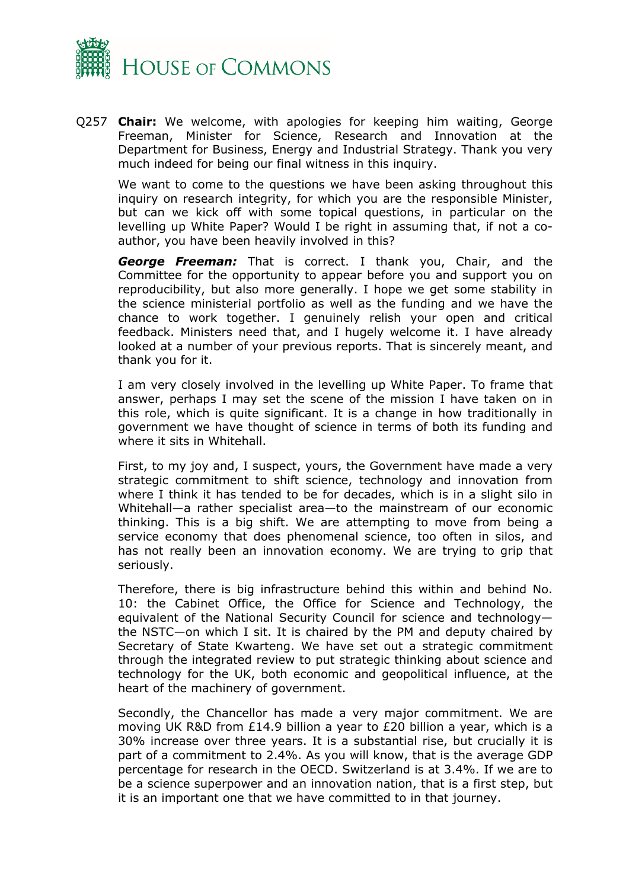

Q257 **Chair:** We welcome, with apologies for keeping him waiting, George Freeman, Minister for Science, Research and Innovation at the Department for Business, Energy and Industrial Strategy. Thank you very much indeed for being our final witness in this inquiry.

We want to come to the questions we have been asking throughout this inquiry on research integrity, for which you are the responsible Minister, but can we kick off with some topical questions, in particular on the levelling up White Paper? Would I be right in assuming that, if not a coauthor, you have been heavily involved in this?

*George Freeman:* That is correct. I thank you, Chair, and the Committee for the opportunity to appear before you and support you on reproducibility, but also more generally. I hope we get some stability in the science ministerial portfolio as well as the funding and we have the chance to work together. I genuinely relish your open and critical feedback. Ministers need that, and I hugely welcome it. I have already looked at a number of your previous reports. That is sincerely meant, and thank you for it.

I am very closely involved in the levelling up White Paper. To frame that answer, perhaps I may set the scene of the mission I have taken on in this role, which is quite significant. It is a change in how traditionally in government we have thought of science in terms of both its funding and where it sits in Whitehall.

First, to my joy and, I suspect, yours, the Government have made a very strategic commitment to shift science, technology and innovation from where I think it has tended to be for decades, which is in a slight silo in Whitehall—a rather specialist area—to the mainstream of our economic thinking. This is a big shift. We are attempting to move from being a service economy that does phenomenal science, too often in silos, and has not really been an innovation economy. We are trying to grip that seriously.

Therefore, there is big infrastructure behind this within and behind No. 10: the Cabinet Office, the Office for Science and Technology, the equivalent of the National Security Council for science and technology the NSTC—on which I sit. It is chaired by the PM and deputy chaired by Secretary of State Kwarteng. We have set out a strategic commitment through the integrated review to put strategic thinking about science and technology for the UK, both economic and geopolitical influence, at the heart of the machinery of government.

Secondly, the Chancellor has made a very major commitment. We are moving UK R&D from £14.9 billion a year to £20 billion a year, which is a 30% increase over three years. It is a substantial rise, but crucially it is part of a commitment to 2.4%. As you will know, that is the average GDP percentage for research in the OECD. Switzerland is at 3.4%. If we are to be a science superpower and an innovation nation, that is a first step, but it is an important one that we have committed to in that journey.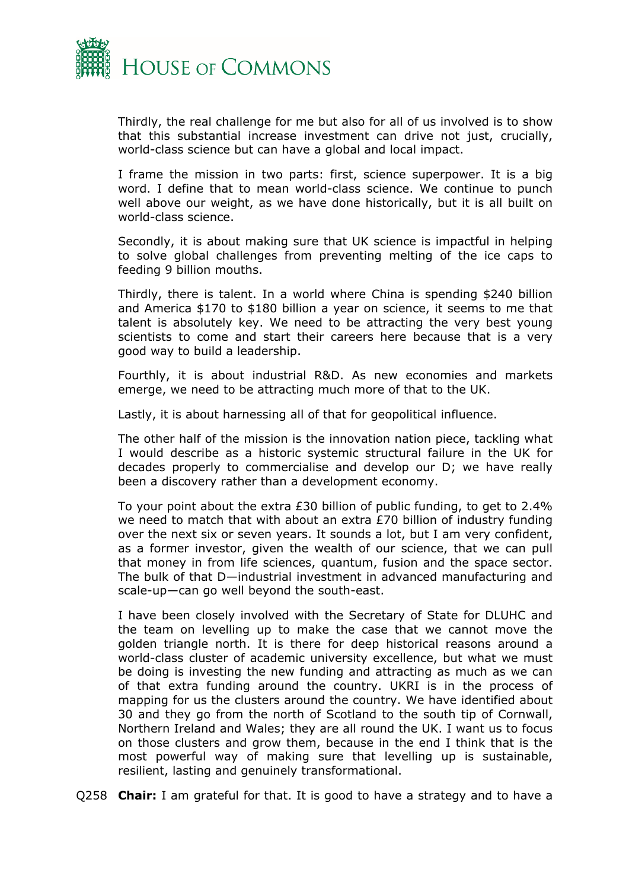

Thirdly, the real challenge for me but also for all of us involved is to show that this substantial increase investment can drive not just, crucially, world-class science but can have a global and local impact.

I frame the mission in two parts: first, science superpower. It is a big word. I define that to mean world-class science. We continue to punch well above our weight, as we have done historically, but it is all built on world-class science.

Secondly, it is about making sure that UK science is impactful in helping to solve global challenges from preventing melting of the ice caps to feeding 9 billion mouths.

Thirdly, there is talent. In a world where China is spending \$240 billion and America \$170 to \$180 billion a year on science, it seems to me that talent is absolutely key. We need to be attracting the very best young scientists to come and start their careers here because that is a very good way to build a leadership.

Fourthly, it is about industrial R&D. As new economies and markets emerge, we need to be attracting much more of that to the UK.

Lastly, it is about harnessing all of that for geopolitical influence.

The other half of the mission is the innovation nation piece, tackling what I would describe as a historic systemic structural failure in the UK for decades properly to commercialise and develop our D; we have really been a discovery rather than a development economy.

To your point about the extra £30 billion of public funding, to get to 2.4% we need to match that with about an extra £70 billion of industry funding over the next six or seven years. It sounds a lot, but I am very confident, as a former investor, given the wealth of our science, that we can pull that money in from life sciences, quantum, fusion and the space sector. The bulk of that D—industrial investment in advanced manufacturing and scale-up—can go well beyond the south-east.

I have been closely involved with the Secretary of State for DLUHC and the team on levelling up to make the case that we cannot move the golden triangle north. It is there for deep historical reasons around a world-class cluster of academic university excellence, but what we must be doing is investing the new funding and attracting as much as we can of that extra funding around the country. UKRI is in the process of mapping for us the clusters around the country. We have identified about 30 and they go from the north of Scotland to the south tip of Cornwall, Northern Ireland and Wales; they are all round the UK. I want us to focus on those clusters and grow them, because in the end I think that is the most powerful way of making sure that levelling up is sustainable, resilient, lasting and genuinely transformational.

Q258 **Chair:** I am grateful for that. It is good to have a strategy and to have a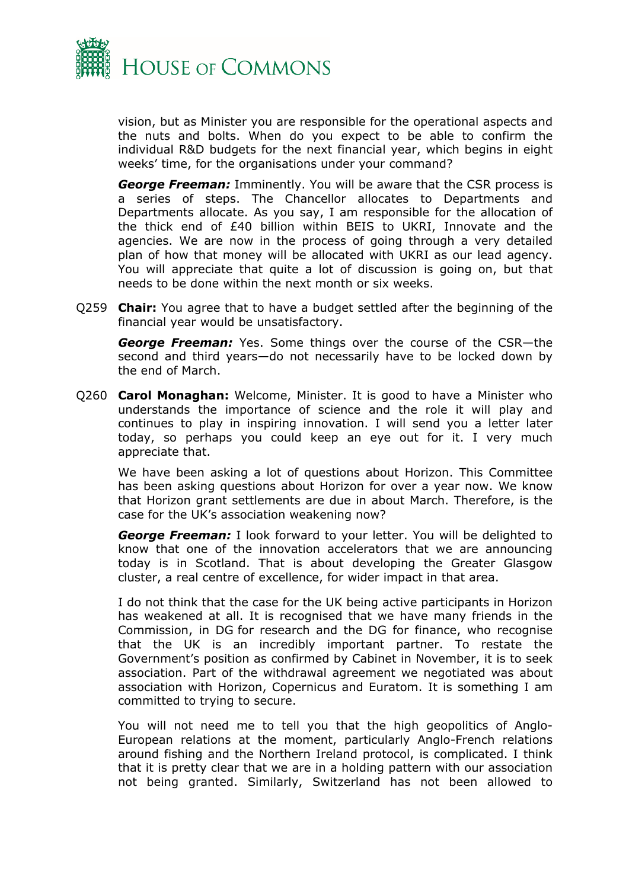

vision, but as Minister you are responsible for the operational aspects and the nuts and bolts. When do you expect to be able to confirm the individual R&D budgets for the next financial year, which begins in eight weeks' time, for the organisations under your command?

*George Freeman:* Imminently. You will be aware that the CSR process is a series of steps. The Chancellor allocates to Departments and Departments allocate. As you say, I am responsible for the allocation of the thick end of £40 billion within BEIS to UKRI, Innovate and the agencies. We are now in the process of going through a very detailed plan of how that money will be allocated with UKRI as our lead agency. You will appreciate that quite a lot of discussion is going on, but that needs to be done within the next month or six weeks.

Q259 **Chair:** You agree that to have a budget settled after the beginning of the financial year would be unsatisfactory.

*George Freeman:* Yes. Some things over the course of the CSR—the second and third years—do not necessarily have to be locked down by the end of March.

Q260 **Carol Monaghan:** Welcome, Minister. It is good to have a Minister who understands the importance of science and the role it will play and continues to play in inspiring innovation. I will send you a letter later today, so perhaps you could keep an eye out for it. I very much appreciate that.

We have been asking a lot of questions about Horizon. This Committee has been asking questions about Horizon for over a year now. We know that Horizon grant settlements are due in about March. Therefore, is the case for the UK's association weakening now?

*George Freeman:* I look forward to your letter. You will be delighted to know that one of the innovation accelerators that we are announcing today is in Scotland. That is about developing the Greater Glasgow cluster, a real centre of excellence, for wider impact in that area.

I do not think that the case for the UK being active participants in Horizon has weakened at all. It is recognised that we have many friends in the Commission, in DG for research and the DG for finance, who recognise that the UK is an incredibly important partner. To restate the Government's position as confirmed by Cabinet in November, it is to seek association. Part of the withdrawal agreement we negotiated was about association with Horizon, Copernicus and Euratom. It is something I am committed to trying to secure.

You will not need me to tell you that the high geopolitics of Anglo-European relations at the moment, particularly Anglo-French relations around fishing and the Northern Ireland protocol, is complicated. I think that it is pretty clear that we are in a holding pattern with our association not being granted. Similarly, Switzerland has not been allowed to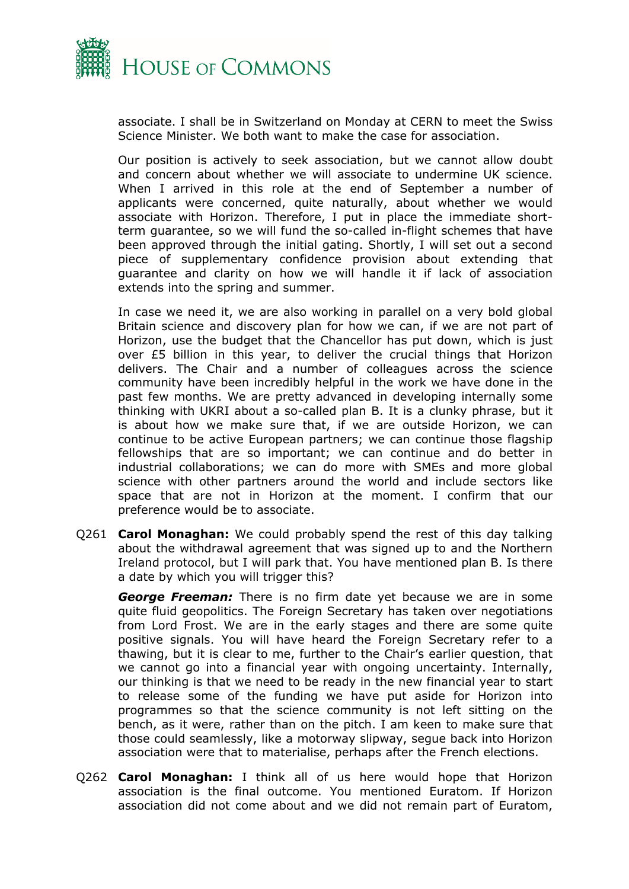

associate. I shall be in Switzerland on Monday at CERN to meet the Swiss Science Minister. We both want to make the case for association.

Our position is actively to seek association, but we cannot allow doubt and concern about whether we will associate to undermine UK science. When I arrived in this role at the end of September a number of applicants were concerned, quite naturally, about whether we would associate with Horizon. Therefore, I put in place the immediate shortterm guarantee, so we will fund the so-called in-flight schemes that have been approved through the initial gating. Shortly, I will set out a second piece of supplementary confidence provision about extending that guarantee and clarity on how we will handle it if lack of association extends into the spring and summer.

In case we need it, we are also working in parallel on a very bold global Britain science and discovery plan for how we can, if we are not part of Horizon, use the budget that the Chancellor has put down, which is just over £5 billion in this year, to deliver the crucial things that Horizon delivers. The Chair and a number of colleagues across the science community have been incredibly helpful in the work we have done in the past few months. We are pretty advanced in developing internally some thinking with UKRI about a so-called plan B. It is a clunky phrase, but it is about how we make sure that, if we are outside Horizon, we can continue to be active European partners; we can continue those flagship fellowships that are so important; we can continue and do better in industrial collaborations; we can do more with SMEs and more global science with other partners around the world and include sectors like space that are not in Horizon at the moment. I confirm that our preference would be to associate.

Q261 **Carol Monaghan:** We could probably spend the rest of this day talking about the withdrawal agreement that was signed up to and the Northern Ireland protocol, but I will park that. You have mentioned plan B. Is there a date by which you will trigger this?

*George Freeman:* There is no firm date yet because we are in some quite fluid geopolitics. The Foreign Secretary has taken over negotiations from Lord Frost. We are in the early stages and there are some quite positive signals. You will have heard the Foreign Secretary refer to a thawing, but it is clear to me, further to the Chair's earlier question, that we cannot go into a financial year with ongoing uncertainty. Internally, our thinking is that we need to be ready in the new financial year to start to release some of the funding we have put aside for Horizon into programmes so that the science community is not left sitting on the bench, as it were, rather than on the pitch. I am keen to make sure that those could seamlessly, like a motorway slipway, segue back into Horizon association were that to materialise, perhaps after the French elections.

Q262 **Carol Monaghan:** I think all of us here would hope that Horizon association is the final outcome. You mentioned Euratom. If Horizon association did not come about and we did not remain part of Euratom,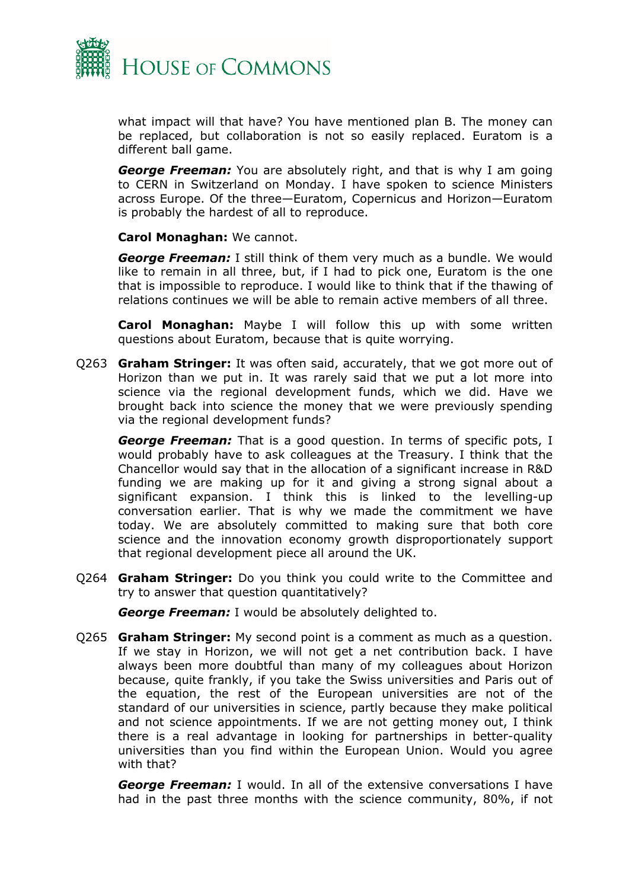

what impact will that have? You have mentioned plan B. The money can be replaced, but collaboration is not so easily replaced. Euratom is a different ball game.

*George Freeman:* You are absolutely right, and that is why I am going to CERN in Switzerland on Monday. I have spoken to science Ministers across Europe. Of the three—Euratom, Copernicus and Horizon—Euratom is probably the hardest of all to reproduce.

**Carol Monaghan:** We cannot.

*George Freeman:* I still think of them very much as a bundle. We would like to remain in all three, but, if I had to pick one, Euratom is the one that is impossible to reproduce. I would like to think that if the thawing of relations continues we will be able to remain active members of all three.

**Carol Monaghan:** Maybe I will follow this up with some written questions about Euratom, because that is quite worrying.

Q263 **Graham Stringer:** It was often said, accurately, that we got more out of Horizon than we put in. It was rarely said that we put a lot more into science via the regional development funds, which we did. Have we brought back into science the money that we were previously spending via the regional development funds?

*George Freeman:* That is a good question. In terms of specific pots, I would probably have to ask colleagues at the Treasury. I think that the Chancellor would say that in the allocation of a significant increase in R&D funding we are making up for it and giving a strong signal about a significant expansion. I think this is linked to the levelling-up conversation earlier. That is why we made the commitment we have today. We are absolutely committed to making sure that both core science and the innovation economy growth disproportionately support that regional development piece all around the UK.

Q264 **Graham Stringer:** Do you think you could write to the Committee and try to answer that question quantitatively?

*George Freeman:* I would be absolutely delighted to.

Q265 **Graham Stringer:** My second point is a comment as much as a question. If we stay in Horizon, we will not get a net contribution back. I have always been more doubtful than many of my colleagues about Horizon because, quite frankly, if you take the Swiss universities and Paris out of the equation, the rest of the European universities are not of the standard of our universities in science, partly because they make political and not science appointments. If we are not getting money out, I think there is a real advantage in looking for partnerships in better-quality universities than you find within the European Union. Would you agree with that?

*George Freeman:* I would. In all of the extensive conversations I have had in the past three months with the science community, 80%, if not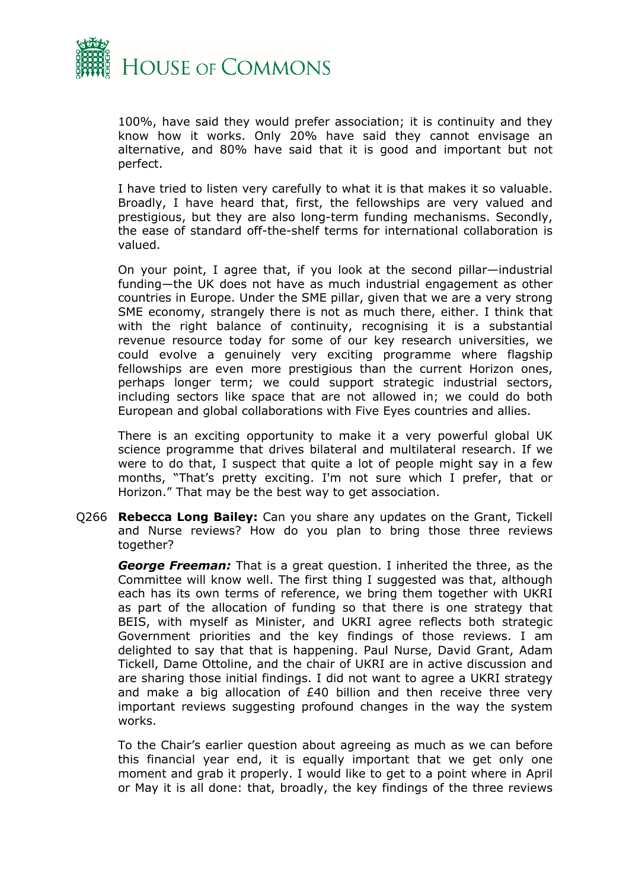

100%, have said they would prefer association; it is continuity and they know how it works. Only 20% have said they cannot envisage an alternative, and 80% have said that it is good and important but not perfect.

I have tried to listen very carefully to what it is that makes it so valuable. Broadly, I have heard that, first, the fellowships are very valued and prestigious, but they are also long-term funding mechanisms. Secondly, the ease of standard off-the-shelf terms for international collaboration is valued.

On your point, I agree that, if you look at the second pillar—industrial funding—the UK does not have as much industrial engagement as other countries in Europe. Under the SME pillar, given that we are a very strong SME economy, strangely there is not as much there, either. I think that with the right balance of continuity, recognising it is a substantial revenue resource today for some of our key research universities, we could evolve a genuinely very exciting programme where flagship fellowships are even more prestigious than the current Horizon ones, perhaps longer term; we could support strategic industrial sectors, including sectors like space that are not allowed in; we could do both European and global collaborations with Five Eyes countries and allies.

There is an exciting opportunity to make it a very powerful global UK science programme that drives bilateral and multilateral research. If we were to do that, I suspect that quite a lot of people might say in a few months, "That's pretty exciting. I'm not sure which I prefer, that or Horizon." That may be the best way to get association.

Q266 **Rebecca Long Bailey:** Can you share any updates on the Grant, Tickell and Nurse reviews? How do you plan to bring those three reviews together?

*George Freeman:* That is a great question. I inherited the three, as the Committee will know well. The first thing I suggested was that, although each has its own terms of reference, we bring them together with UKRI as part of the allocation of funding so that there is one strategy that BEIS, with myself as Minister, and UKRI agree reflects both strategic Government priorities and the key findings of those reviews. I am delighted to say that that is happening. Paul Nurse, David Grant, Adam Tickell, Dame Ottoline, and the chair of UKRI are in active discussion and are sharing those initial findings. I did not want to agree a UKRI strategy and make a big allocation of £40 billion and then receive three very important reviews suggesting profound changes in the way the system works.

To the Chair's earlier question about agreeing as much as we can before this financial year end, it is equally important that we get only one moment and grab it properly. I would like to get to a point where in April or May it is all done: that, broadly, the key findings of the three reviews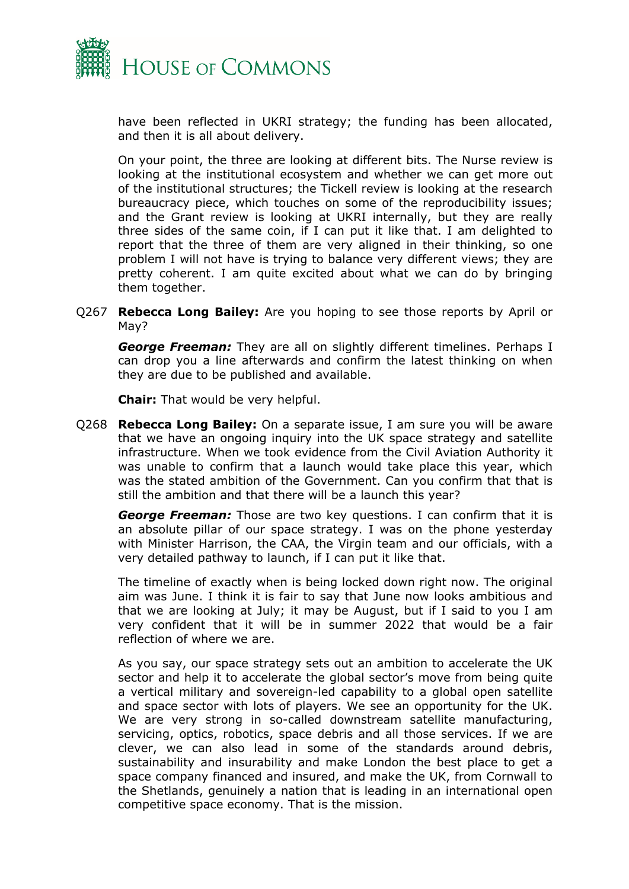

have been reflected in UKRI strategy; the funding has been allocated, and then it is all about delivery.

On your point, the three are looking at different bits. The Nurse review is looking at the institutional ecosystem and whether we can get more out of the institutional structures; the Tickell review is looking at the research bureaucracy piece, which touches on some of the reproducibility issues; and the Grant review is looking at UKRI internally, but they are really three sides of the same coin, if I can put it like that. I am delighted to report that the three of them are very aligned in their thinking, so one problem I will not have is trying to balance very different views; they are pretty coherent. I am quite excited about what we can do by bringing them together.

Q267 **Rebecca Long Bailey:** Are you hoping to see those reports by April or May?

*George Freeman:* They are all on slightly different timelines. Perhaps I can drop you a line afterwards and confirm the latest thinking on when they are due to be published and available.

**Chair:** That would be very helpful.

Q268 **Rebecca Long Bailey:** On a separate issue, I am sure you will be aware that we have an ongoing inquiry into the UK space strategy and satellite infrastructure. When we took evidence from the Civil Aviation Authority it was unable to confirm that a launch would take place this year, which was the stated ambition of the Government. Can you confirm that that is still the ambition and that there will be a launch this year?

*George Freeman:* Those are two key questions. I can confirm that it is an absolute pillar of our space strategy. I was on the phone yesterday with Minister Harrison, the CAA, the Virgin team and our officials, with a very detailed pathway to launch, if I can put it like that.

The timeline of exactly when is being locked down right now. The original aim was June. I think it is fair to say that June now looks ambitious and that we are looking at July; it may be August, but if I said to you I am very confident that it will be in summer 2022 that would be a fair reflection of where we are.

As you say, our space strategy sets out an ambition to accelerate the UK sector and help it to accelerate the global sector's move from being quite a vertical military and sovereign-led capability to a global open satellite and space sector with lots of players. We see an opportunity for the UK. We are very strong in so-called downstream satellite manufacturing, servicing, optics, robotics, space debris and all those services. If we are clever, we can also lead in some of the standards around debris, sustainability and insurability and make London the best place to get a space company financed and insured, and make the UK, from Cornwall to the Shetlands, genuinely a nation that is leading in an international open competitive space economy. That is the mission.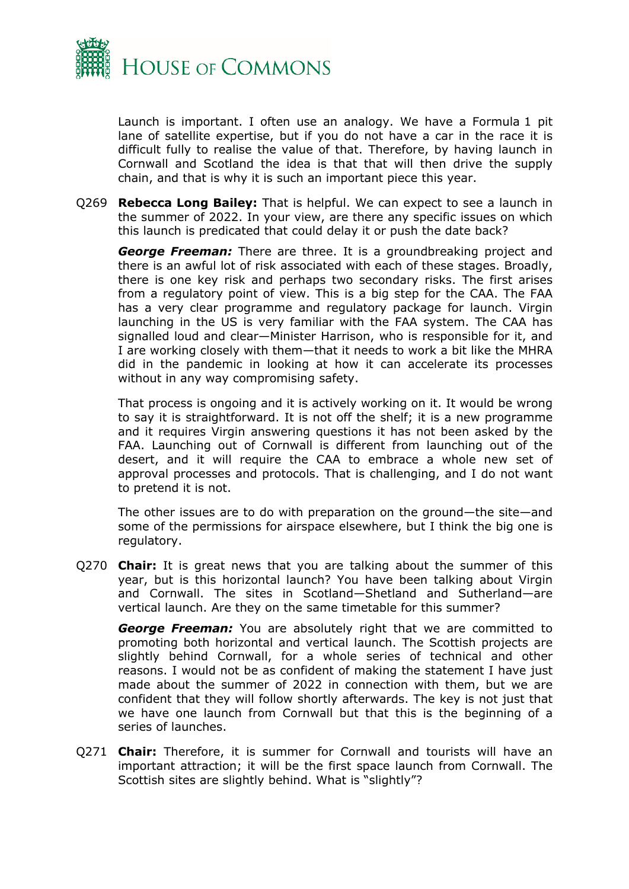

Launch is important. I often use an analogy. We have a Formula 1 pit lane of satellite expertise, but if you do not have a car in the race it is difficult fully to realise the value of that. Therefore, by having launch in Cornwall and Scotland the idea is that that will then drive the supply chain, and that is why it is such an important piece this year.

Q269 **Rebecca Long Bailey:** That is helpful. We can expect to see a launch in the summer of 2022. In your view, are there any specific issues on which this launch is predicated that could delay it or push the date back?

*George Freeman:* There are three. It is a groundbreaking project and there is an awful lot of risk associated with each of these stages. Broadly, there is one key risk and perhaps two secondary risks. The first arises from a regulatory point of view. This is a big step for the CAA. The FAA has a very clear programme and regulatory package for launch. Virgin launching in the US is very familiar with the FAA system. The CAA has signalled loud and clear—Minister Harrison, who is responsible for it, and I are working closely with them—that it needs to work a bit like the MHRA did in the pandemic in looking at how it can accelerate its processes without in any way compromising safety.

That process is ongoing and it is actively working on it. It would be wrong to say it is straightforward. It is not off the shelf; it is a new programme and it requires Virgin answering questions it has not been asked by the FAA. Launching out of Cornwall is different from launching out of the desert, and it will require the CAA to embrace a whole new set of approval processes and protocols. That is challenging, and I do not want to pretend it is not.

The other issues are to do with preparation on the ground—the site—and some of the permissions for airspace elsewhere, but I think the big one is regulatory.

Q270 **Chair:** It is great news that you are talking about the summer of this year, but is this horizontal launch? You have been talking about Virgin and Cornwall. The sites in Scotland—Shetland and Sutherland—are vertical launch. Are they on the same timetable for this summer?

**George Freeman:** You are absolutely right that we are committed to promoting both horizontal and vertical launch. The Scottish projects are slightly behind Cornwall, for a whole series of technical and other reasons. I would not be as confident of making the statement I have just made about the summer of 2022 in connection with them, but we are confident that they will follow shortly afterwards. The key is not just that we have one launch from Cornwall but that this is the beginning of a series of launches.

Q271 **Chair:** Therefore, it is summer for Cornwall and tourists will have an important attraction; it will be the first space launch from Cornwall. The Scottish sites are slightly behind. What is "slightly"?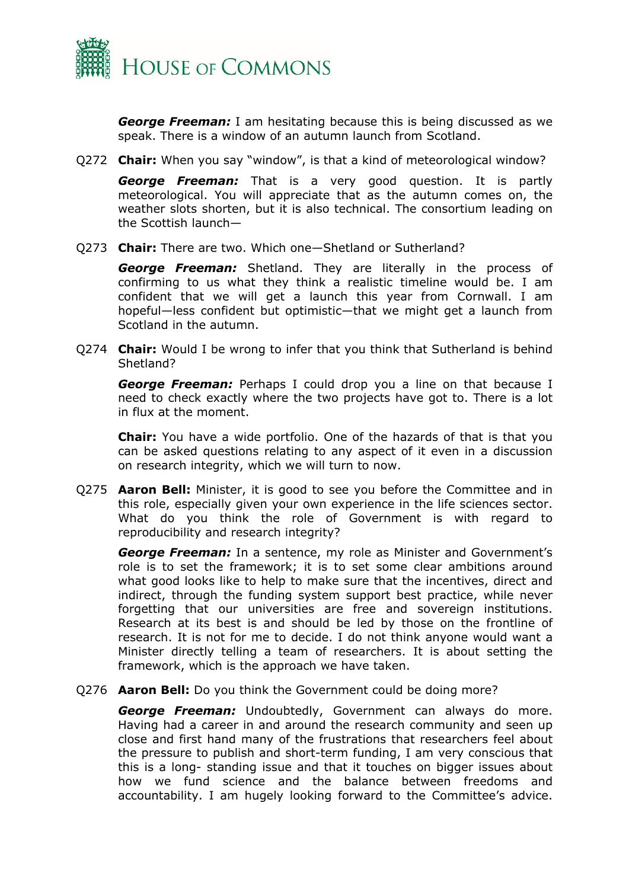

*George Freeman:* I am hesitating because this is being discussed as we speak. There is a window of an autumn launch from Scotland.

Q272 **Chair:** When you say "window", is that a kind of meteorological window?

*George Freeman:* That is a very good question. It is partly meteorological. You will appreciate that as the autumn comes on, the weather slots shorten, but it is also technical. The consortium leading on the Scottish launch—

Q273 **Chair:** There are two. Which one—Shetland or Sutherland?

*George Freeman:* Shetland. They are literally in the process of confirming to us what they think a realistic timeline would be. I am confident that we will get a launch this year from Cornwall. I am hopeful—less confident but optimistic—that we might get a launch from Scotland in the autumn.

Q274 **Chair:** Would I be wrong to infer that you think that Sutherland is behind Shetland?

*George Freeman:* Perhaps I could drop you a line on that because I need to check exactly where the two projects have got to. There is a lot in flux at the moment.

**Chair:** You have a wide portfolio. One of the hazards of that is that you can be asked questions relating to any aspect of it even in a discussion on research integrity, which we will turn to now.

Q275 **Aaron Bell:** Minister, it is good to see you before the Committee and in this role, especially given your own experience in the life sciences sector. What do you think the role of Government is with regard to reproducibility and research integrity?

*George Freeman:* In a sentence, my role as Minister and Government's role is to set the framework; it is to set some clear ambitions around what good looks like to help to make sure that the incentives, direct and indirect, through the funding system support best practice, while never forgetting that our universities are free and sovereign institutions. Research at its best is and should be led by those on the frontline of research. It is not for me to decide. I do not think anyone would want a Minister directly telling a team of researchers. It is about setting the framework, which is the approach we have taken.

Q276 **Aaron Bell:** Do you think the Government could be doing more?

*George Freeman:* Undoubtedly, Government can always do more. Having had a career in and around the research community and seen up close and first hand many of the frustrations that researchers feel about the pressure to publish and short-term funding, I am very conscious that this is a long- standing issue and that it touches on bigger issues about how we fund science and the balance between freedoms and accountability. I am hugely looking forward to the Committee's advice.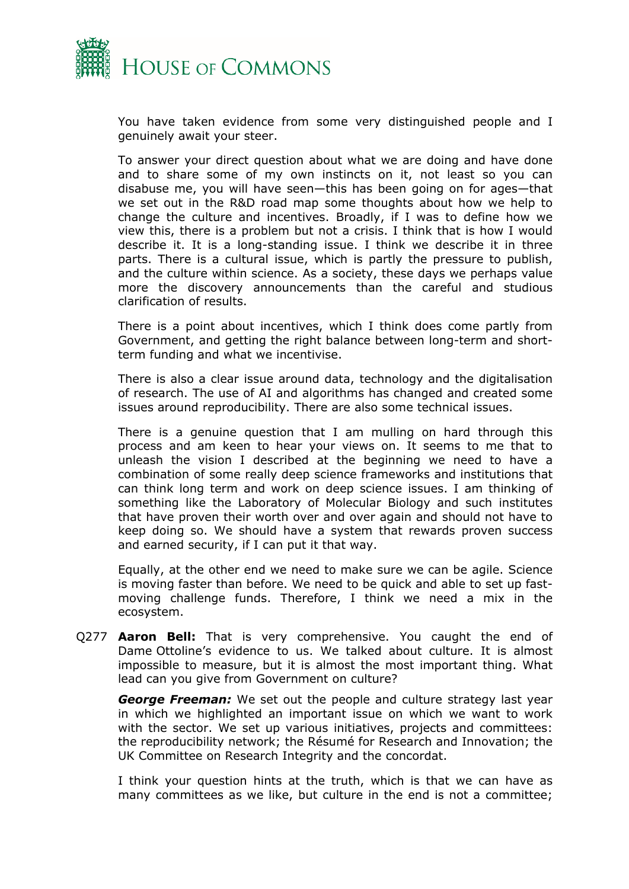

You have taken evidence from some very distinguished people and I genuinely await your steer.

To answer your direct question about what we are doing and have done and to share some of my own instincts on it, not least so you can disabuse me, you will have seen—this has been going on for ages—that we set out in the R&D road map some thoughts about how we help to change the culture and incentives. Broadly, if I was to define how we view this, there is a problem but not a crisis. I think that is how I would describe it. It is a long-standing issue. I think we describe it in three parts. There is a cultural issue, which is partly the pressure to publish, and the culture within science. As a society, these days we perhaps value more the discovery announcements than the careful and studious clarification of results.

There is a point about incentives, which I think does come partly from Government, and getting the right balance between long-term and shortterm funding and what we incentivise.

There is also a clear issue around data, technology and the digitalisation of research. The use of AI and algorithms has changed and created some issues around reproducibility. There are also some technical issues.

There is a genuine question that I am mulling on hard through this process and am keen to hear your views on. It seems to me that to unleash the vision I described at the beginning we need to have a combination of some really deep science frameworks and institutions that can think long term and work on deep science issues. I am thinking of something like the Laboratory of Molecular Biology and such institutes that have proven their worth over and over again and should not have to keep doing so. We should have a system that rewards proven success and earned security, if I can put it that way.

Equally, at the other end we need to make sure we can be agile. Science is moving faster than before. We need to be quick and able to set up fastmoving challenge funds. Therefore, I think we need a mix in the ecosystem.

Q277 **Aaron Bell:** That is very comprehensive. You caught the end of Dame Ottoline's evidence to us. We talked about culture. It is almost impossible to measure, but it is almost the most important thing. What lead can you give from Government on culture?

*George Freeman:* We set out the people and culture strategy last year in which we highlighted an important issue on which we want to work with the sector. We set up various initiatives, projects and committees: the reproducibility network; the Résumé for Research and Innovation; the UK Committee on Research Integrity and the concordat.

I think your question hints at the truth, which is that we can have as many committees as we like, but culture in the end is not a committee;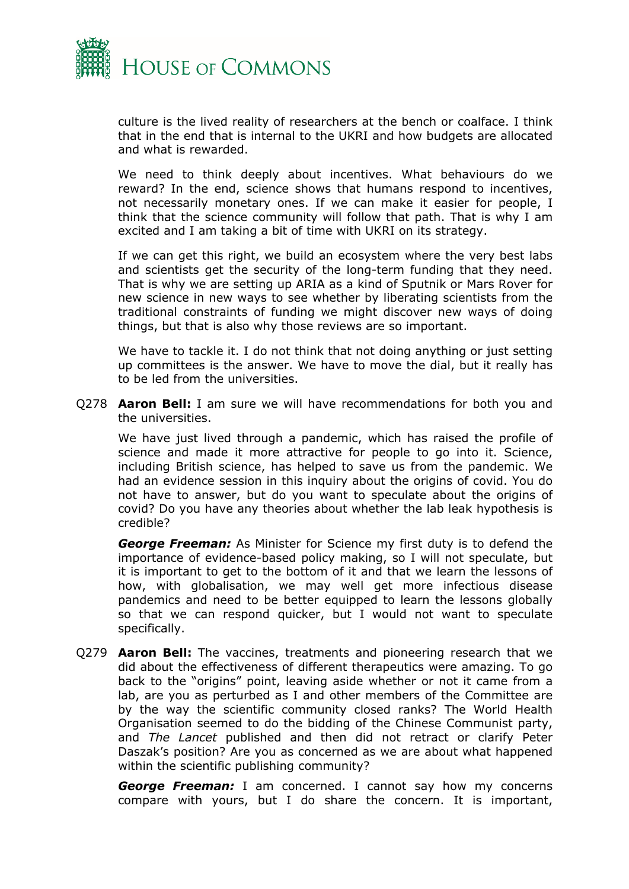

culture is the lived reality of researchers at the bench or coalface. I think that in the end that is internal to the UKRI and how budgets are allocated and what is rewarded.

We need to think deeply about incentives. What behaviours do we reward? In the end, science shows that humans respond to incentives, not necessarily monetary ones. If we can make it easier for people, I think that the science community will follow that path. That is why I am excited and I am taking a bit of time with UKRI on its strategy.

If we can get this right, we build an ecosystem where the very best labs and scientists get the security of the long-term funding that they need. That is why we are setting up ARIA as a kind of Sputnik or Mars Rover for new science in new ways to see whether by liberating scientists from the traditional constraints of funding we might discover new ways of doing things, but that is also why those reviews are so important.

We have to tackle it. I do not think that not doing anything or just setting up committees is the answer. We have to move the dial, but it really has to be led from the universities.

Q278 **Aaron Bell:** I am sure we will have recommendations for both you and the universities.

We have just lived through a pandemic, which has raised the profile of science and made it more attractive for people to go into it. Science, including British science, has helped to save us from the pandemic. We had an evidence session in this inquiry about the origins of covid. You do not have to answer, but do you want to speculate about the origins of covid? Do you have any theories about whether the lab leak hypothesis is credible?

*George Freeman:* As Minister for Science my first duty is to defend the importance of evidence-based policy making, so I will not speculate, but it is important to get to the bottom of it and that we learn the lessons of how, with globalisation, we may well get more infectious disease pandemics and need to be better equipped to learn the lessons globally so that we can respond quicker, but I would not want to speculate specifically.

Q279 **Aaron Bell:** The vaccines, treatments and pioneering research that we did about the effectiveness of different therapeutics were amazing. To go back to the "origins" point, leaving aside whether or not it came from a lab, are you as perturbed as I and other members of the Committee are by the way the scientific community closed ranks? The World Health Organisation seemed to do the bidding of the Chinese Communist party, and *The Lancet* published and then did not retract or clarify Peter Daszak's position? Are you as concerned as we are about what happened within the scientific publishing community?

*George Freeman:* I am concerned. I cannot say how my concerns compare with yours, but I do share the concern. It is important,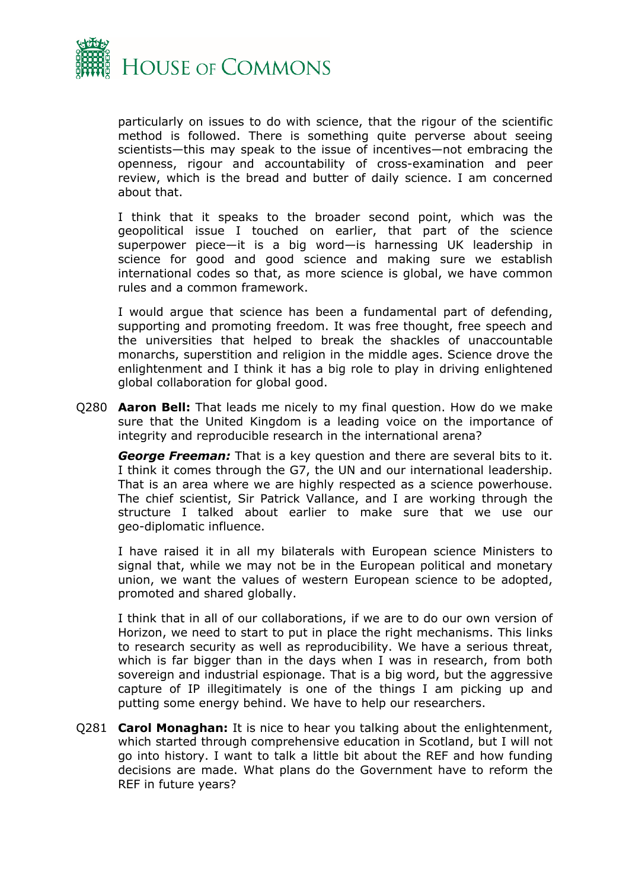

particularly on issues to do with science, that the rigour of the scientific method is followed. There is something quite perverse about seeing scientists—this may speak to the issue of incentives—not embracing the openness, rigour and accountability of cross-examination and peer review, which is the bread and butter of daily science. I am concerned about that.

I think that it speaks to the broader second point, which was the geopolitical issue I touched on earlier, that part of the science superpower piece—it is a big word—is harnessing UK leadership in science for good and good science and making sure we establish international codes so that, as more science is global, we have common rules and a common framework.

I would argue that science has been a fundamental part of defending, supporting and promoting freedom. It was free thought, free speech and the universities that helped to break the shackles of unaccountable monarchs, superstition and religion in the middle ages. Science drove the enlightenment and I think it has a big role to play in driving enlightened global collaboration for global good.

Q280 **Aaron Bell:** That leads me nicely to my final question. How do we make sure that the United Kingdom is a leading voice on the importance of integrity and reproducible research in the international arena?

*George Freeman:* That is a key question and there are several bits to it. I think it comes through the G7, the UN and our international leadership. That is an area where we are highly respected as a science powerhouse. The chief scientist, Sir Patrick Vallance, and I are working through the structure I talked about earlier to make sure that we use our geo-diplomatic influence.

I have raised it in all my bilaterals with European science Ministers to signal that, while we may not be in the European political and monetary union, we want the values of western European science to be adopted, promoted and shared globally.

I think that in all of our collaborations, if we are to do our own version of Horizon, we need to start to put in place the right mechanisms. This links to research security as well as reproducibility. We have a serious threat, which is far bigger than in the days when I was in research, from both sovereign and industrial espionage. That is a big word, but the aggressive capture of IP illegitimately is one of the things I am picking up and putting some energy behind. We have to help our researchers.

Q281 **Carol Monaghan:** It is nice to hear you talking about the enlightenment, which started through comprehensive education in Scotland, but I will not go into history. I want to talk a little bit about the REF and how funding decisions are made. What plans do the Government have to reform the REF in future years?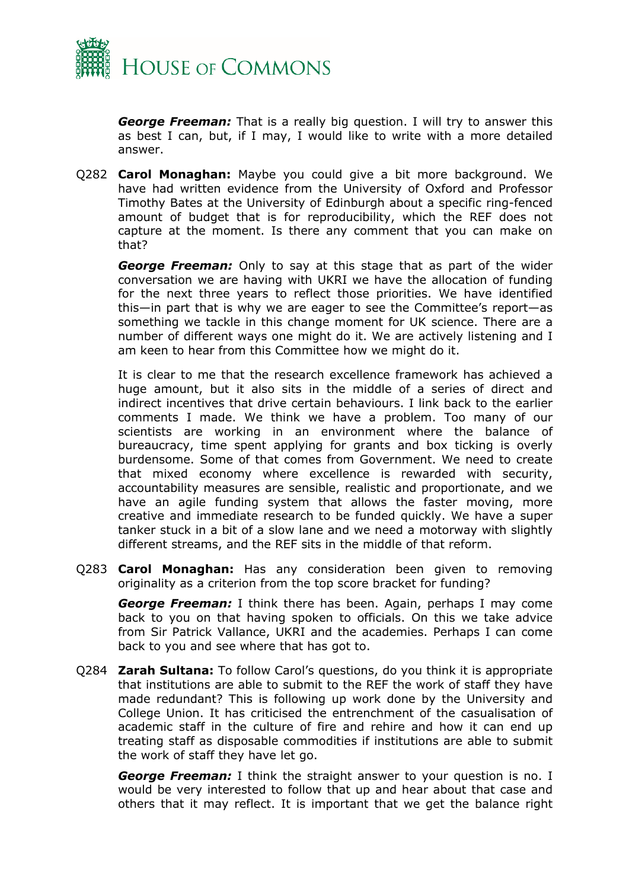

*George Freeman:* That is a really big question. I will try to answer this as best I can, but, if I may, I would like to write with a more detailed answer.

Q282 **Carol Monaghan:** Maybe you could give a bit more background. We have had written evidence from the University of Oxford and Professor Timothy Bates at the University of Edinburgh about a specific ring-fenced amount of budget that is for reproducibility, which the REF does not capture at the moment. Is there any comment that you can make on that?

*George Freeman:* Only to say at this stage that as part of the wider conversation we are having with UKRI we have the allocation of funding for the next three years to reflect those priorities. We have identified this—in part that is why we are eager to see the Committee's report—as something we tackle in this change moment for UK science. There are a number of different ways one might do it. We are actively listening and I am keen to hear from this Committee how we might do it.

It is clear to me that the research excellence framework has achieved a huge amount, but it also sits in the middle of a series of direct and indirect incentives that drive certain behaviours. I link back to the earlier comments I made. We think we have a problem. Too many of our scientists are working in an environment where the balance of bureaucracy, time spent applying for grants and box ticking is overly burdensome. Some of that comes from Government. We need to create that mixed economy where excellence is rewarded with security, accountability measures are sensible, realistic and proportionate, and we have an agile funding system that allows the faster moving, more creative and immediate research to be funded quickly. We have a super tanker stuck in a bit of a slow lane and we need a motorway with slightly different streams, and the REF sits in the middle of that reform.

Q283 **Carol Monaghan:** Has any consideration been given to removing originality as a criterion from the top score bracket for funding?

*George Freeman:* I think there has been. Again, perhaps I may come back to you on that having spoken to officials. On this we take advice from Sir Patrick Vallance, UKRI and the academies. Perhaps I can come back to you and see where that has got to.

Q284 **Zarah Sultana:** To follow Carol's questions, do you think it is appropriate that institutions are able to submit to the REF the work of staff they have made redundant? This is following up work done by the University and College Union. It has criticised the entrenchment of the casualisation of academic staff in the culture of fire and rehire and how it can end up treating staff as disposable commodities if institutions are able to submit the work of staff they have let go.

*George Freeman:* I think the straight answer to your question is no. I would be very interested to follow that up and hear about that case and others that it may reflect. It is important that we get the balance right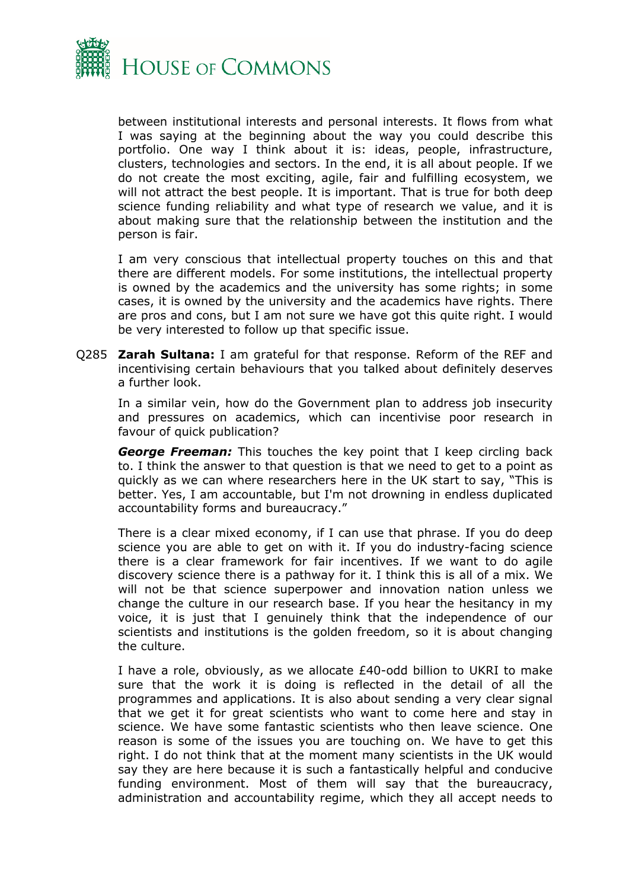

between institutional interests and personal interests. It flows from what I was saying at the beginning about the way you could describe this portfolio. One way I think about it is: ideas, people, infrastructure, clusters, technologies and sectors. In the end, it is all about people. If we do not create the most exciting, agile, fair and fulfilling ecosystem, we will not attract the best people. It is important. That is true for both deep science funding reliability and what type of research we value, and it is about making sure that the relationship between the institution and the person is fair.

I am very conscious that intellectual property touches on this and that there are different models. For some institutions, the intellectual property is owned by the academics and the university has some rights; in some cases, it is owned by the university and the academics have rights. There are pros and cons, but I am not sure we have got this quite right. I would be very interested to follow up that specific issue.

Q285 **Zarah Sultana:** I am grateful for that response. Reform of the REF and incentivising certain behaviours that you talked about definitely deserves a further look.

In a similar vein, how do the Government plan to address job insecurity and pressures on academics, which can incentivise poor research in favour of quick publication?

*George Freeman:* This touches the key point that I keep circling back to. I think the answer to that question is that we need to get to a point as quickly as we can where researchers here in the UK start to say, "This is better. Yes, I am accountable, but I'm not drowning in endless duplicated accountability forms and bureaucracy."

There is a clear mixed economy, if I can use that phrase. If you do deep science you are able to get on with it. If you do industry-facing science there is a clear framework for fair incentives. If we want to do agile discovery science there is a pathway for it. I think this is all of a mix. We will not be that science superpower and innovation nation unless we change the culture in our research base. If you hear the hesitancy in my voice, it is just that I genuinely think that the independence of our scientists and institutions is the golden freedom, so it is about changing the culture.

I have a role, obviously, as we allocate £40-odd billion to UKRI to make sure that the work it is doing is reflected in the detail of all the programmes and applications. It is also about sending a very clear signal that we get it for great scientists who want to come here and stay in science. We have some fantastic scientists who then leave science. One reason is some of the issues you are touching on. We have to get this right. I do not think that at the moment many scientists in the UK would say they are here because it is such a fantastically helpful and conducive funding environment. Most of them will say that the bureaucracy, administration and accountability regime, which they all accept needs to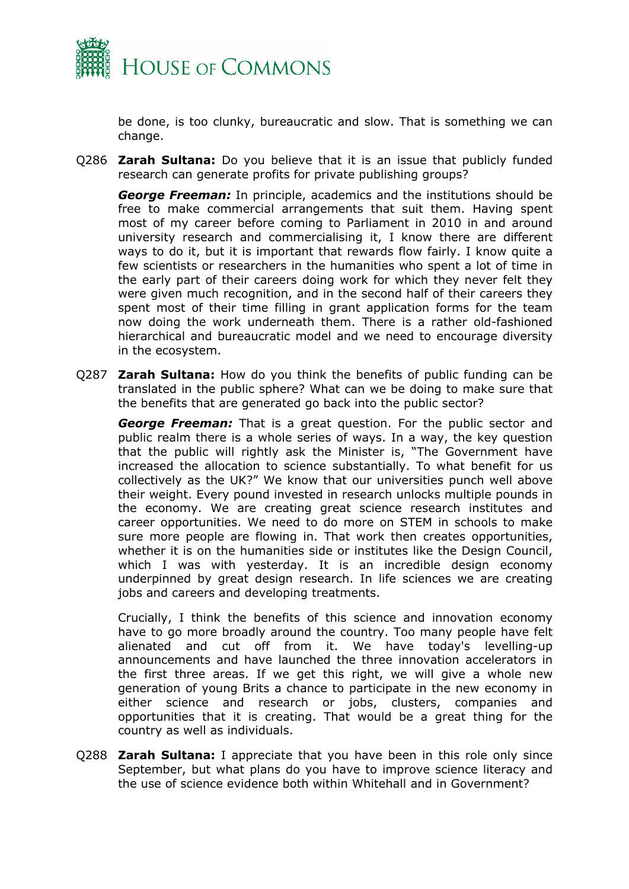

be done, is too clunky, bureaucratic and slow. That is something we can change.

Q286 **Zarah Sultana:** Do you believe that it is an issue that publicly funded research can generate profits for private publishing groups?

*George Freeman:* In principle, academics and the institutions should be free to make commercial arrangements that suit them. Having spent most of my career before coming to Parliament in 2010 in and around university research and commercialising it, I know there are different ways to do it, but it is important that rewards flow fairly. I know quite a few scientists or researchers in the humanities who spent a lot of time in the early part of their careers doing work for which they never felt they were given much recognition, and in the second half of their careers they spent most of their time filling in grant application forms for the team now doing the work underneath them. There is a rather old-fashioned hierarchical and bureaucratic model and we need to encourage diversity in the ecosystem.

Q287 **Zarah Sultana:** How do you think the benefits of public funding can be translated in the public sphere? What can we be doing to make sure that the benefits that are generated go back into the public sector?

*George Freeman:* That is a great question. For the public sector and public realm there is a whole series of ways. In a way, the key question that the public will rightly ask the Minister is, "The Government have increased the allocation to science substantially. To what benefit for us collectively as the UK?" We know that our universities punch well above their weight. Every pound invested in research unlocks multiple pounds in the economy. We are creating great science research institutes and career opportunities. We need to do more on STEM in schools to make sure more people are flowing in. That work then creates opportunities, whether it is on the humanities side or institutes like the Design Council, which I was with yesterday. It is an incredible design economy underpinned by great design research. In life sciences we are creating jobs and careers and developing treatments.

Crucially, I think the benefits of this science and innovation economy have to go more broadly around the country. Too many people have felt alienated and cut off from it. We have today's levelling-up announcements and have launched the three innovation accelerators in the first three areas. If we get this right, we will give a whole new generation of young Brits a chance to participate in the new economy in either science and research or jobs, clusters, companies and opportunities that it is creating. That would be a great thing for the country as well as individuals.

Q288 **Zarah Sultana:** I appreciate that you have been in this role only since September, but what plans do you have to improve science literacy and the use of science evidence both within Whitehall and in Government?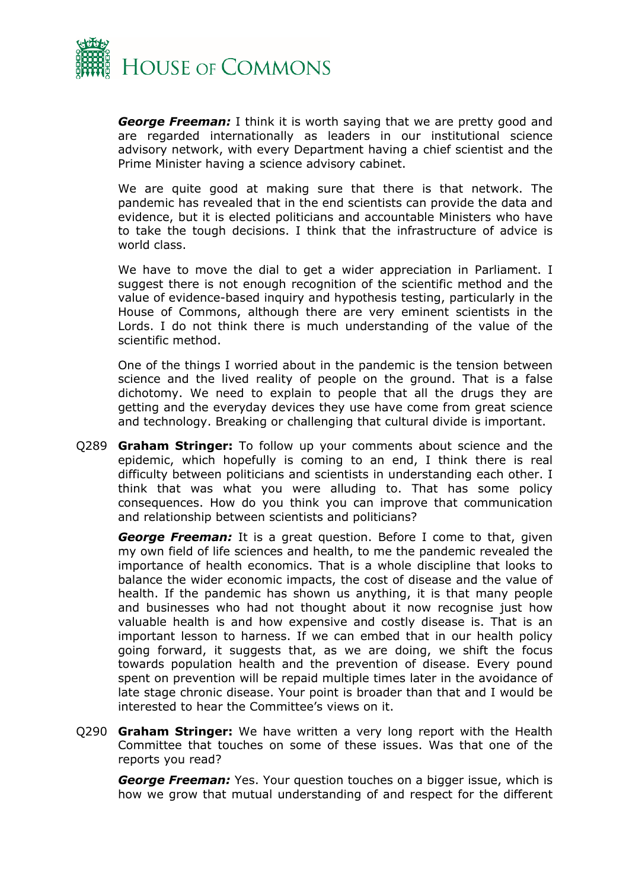

*George Freeman:* I think it is worth saying that we are pretty good and are regarded internationally as leaders in our institutional science advisory network, with every Department having a chief scientist and the Prime Minister having a science advisory cabinet.

We are quite good at making sure that there is that network. The pandemic has revealed that in the end scientists can provide the data and evidence, but it is elected politicians and accountable Ministers who have to take the tough decisions. I think that the infrastructure of advice is world class.

We have to move the dial to get a wider appreciation in Parliament. I suggest there is not enough recognition of the scientific method and the value of evidence-based inquiry and hypothesis testing, particularly in the House of Commons, although there are very eminent scientists in the Lords. I do not think there is much understanding of the value of the scientific method.

One of the things I worried about in the pandemic is the tension between science and the lived reality of people on the ground. That is a false dichotomy. We need to explain to people that all the drugs they are getting and the everyday devices they use have come from great science and technology. Breaking or challenging that cultural divide is important.

Q289 **Graham Stringer:** To follow up your comments about science and the epidemic, which hopefully is coming to an end, I think there is real difficulty between politicians and scientists in understanding each other. I think that was what you were alluding to. That has some policy consequences. How do you think you can improve that communication and relationship between scientists and politicians?

*George Freeman:* It is a great question. Before I come to that, given my own field of life sciences and health, to me the pandemic revealed the importance of health economics. That is a whole discipline that looks to balance the wider economic impacts, the cost of disease and the value of health. If the pandemic has shown us anything, it is that many people and businesses who had not thought about it now recognise just how valuable health is and how expensive and costly disease is. That is an important lesson to harness. If we can embed that in our health policy going forward, it suggests that, as we are doing, we shift the focus towards population health and the prevention of disease. Every pound spent on prevention will be repaid multiple times later in the avoidance of late stage chronic disease. Your point is broader than that and I would be interested to hear the Committee's views on it.

Q290 **Graham Stringer:** We have written a very long report with the Health Committee that touches on some of these issues. Was that one of the reports you read?

*George Freeman:* Yes. Your question touches on a bigger issue, which is how we grow that mutual understanding of and respect for the different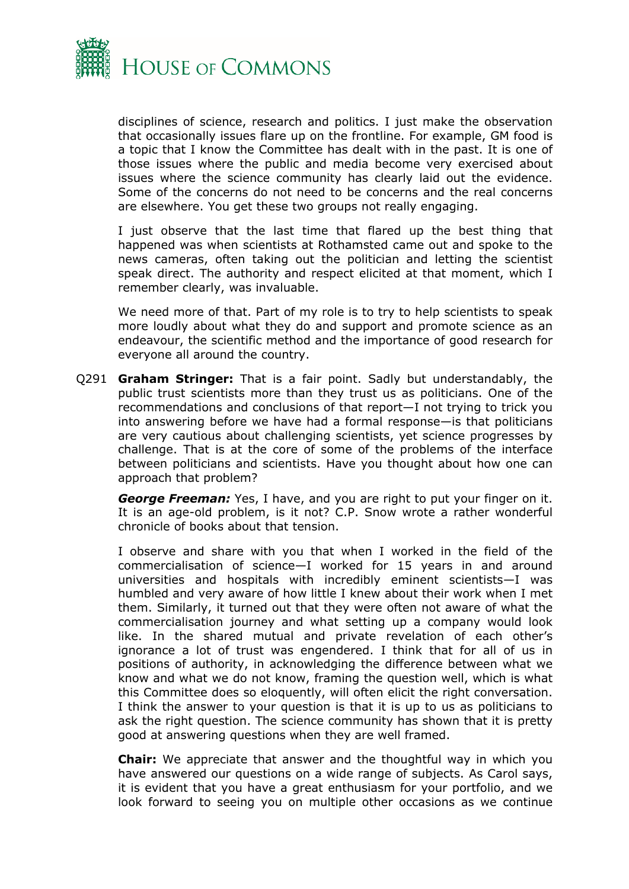

disciplines of science, research and politics. I just make the observation that occasionally issues flare up on the frontline. For example, GM food is a topic that I know the Committee has dealt with in the past. It is one of those issues where the public and media become very exercised about issues where the science community has clearly laid out the evidence. Some of the concerns do not need to be concerns and the real concerns are elsewhere. You get these two groups not really engaging.

I just observe that the last time that flared up the best thing that happened was when scientists at Rothamsted came out and spoke to the news cameras, often taking out the politician and letting the scientist speak direct. The authority and respect elicited at that moment, which I remember clearly, was invaluable.

We need more of that. Part of my role is to try to help scientists to speak more loudly about what they do and support and promote science as an endeavour, the scientific method and the importance of good research for everyone all around the country.

Q291 **Graham Stringer:** That is a fair point. Sadly but understandably, the public trust scientists more than they trust us as politicians. One of the recommendations and conclusions of that report—I not trying to trick you into answering before we have had a formal response—is that politicians are very cautious about challenging scientists, yet science progresses by challenge. That is at the core of some of the problems of the interface between politicians and scientists. Have you thought about how one can approach that problem?

**George Freeman:** Yes, I have, and you are right to put your finger on it. It is an age-old problem, is it not? C.P. Snow wrote a rather wonderful chronicle of books about that tension.

I observe and share with you that when I worked in the field of the commercialisation of science—I worked for 15 years in and around universities and hospitals with incredibly eminent scientists—I was humbled and very aware of how little I knew about their work when I met them. Similarly, it turned out that they were often not aware of what the commercialisation journey and what setting up a company would look like. In the shared mutual and private revelation of each other's ignorance a lot of trust was engendered. I think that for all of us in positions of authority, in acknowledging the difference between what we know and what we do not know, framing the question well, which is what this Committee does so eloquently, will often elicit the right conversation. I think the answer to your question is that it is up to us as politicians to ask the right question. The science community has shown that it is pretty good at answering questions when they are well framed.

**Chair:** We appreciate that answer and the thoughtful way in which you have answered our questions on a wide range of subjects. As Carol says, it is evident that you have a great enthusiasm for your portfolio, and we look forward to seeing you on multiple other occasions as we continue